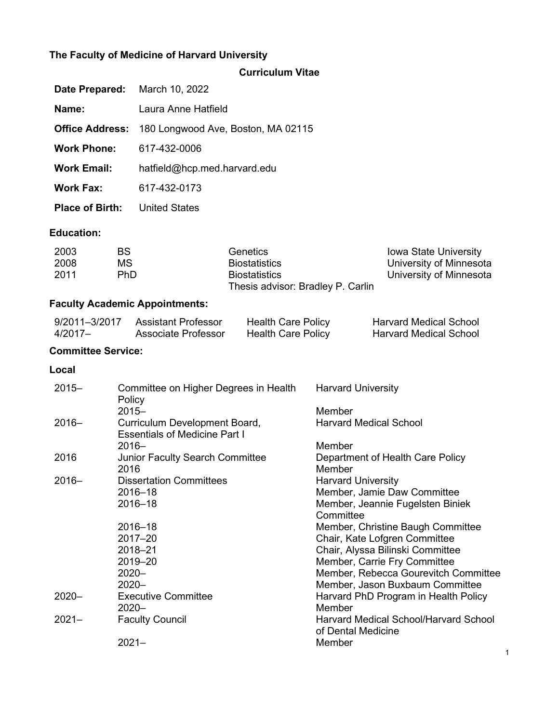# **The Faculty of Medicine of Harvard University**

|  | <b>Curriculum Vitae</b> |
|--|-------------------------|
|  |                         |
|  |                         |

| Date Prepared:             |                                      | March 10, 2022                                                        |  |                                                                                               |                                        |                                                                                                                                                                              |
|----------------------------|--------------------------------------|-----------------------------------------------------------------------|--|-----------------------------------------------------------------------------------------------|----------------------------------------|------------------------------------------------------------------------------------------------------------------------------------------------------------------------------|
| Name:                      |                                      | Laura Anne Hatfield                                                   |  |                                                                                               |                                        |                                                                                                                                                                              |
| <b>Office Address:</b>     |                                      | 180 Longwood Ave, Boston, MA 02115                                    |  |                                                                                               |                                        |                                                                                                                                                                              |
| <b>Work Phone:</b>         |                                      | 617-432-0006                                                          |  |                                                                                               |                                        |                                                                                                                                                                              |
| <b>Work Email:</b>         |                                      | hatfield@hcp.med.harvard.edu                                          |  |                                                                                               |                                        |                                                                                                                                                                              |
| <b>Work Fax:</b>           |                                      | 617-432-0173                                                          |  |                                                                                               |                                        |                                                                                                                                                                              |
| <b>Place of Birth:</b>     |                                      | <b>United States</b>                                                  |  |                                                                                               |                                        |                                                                                                                                                                              |
| <b>Education:</b>          |                                      |                                                                       |  |                                                                                               |                                        |                                                                                                                                                                              |
| 2003<br>2008<br>2011       | <b>BS</b><br><b>MS</b><br><b>PhD</b> |                                                                       |  | Genetics<br><b>Biostatistics</b><br><b>Biostatistics</b><br>Thesis advisor: Bradley P. Carlin |                                        | Iowa State University<br>University of Minnesota<br>University of Minnesota                                                                                                  |
|                            |                                      | <b>Faculty Academic Appointments:</b>                                 |  |                                                                                               |                                        |                                                                                                                                                                              |
| 9/2011-3/2017<br>$4/2017-$ |                                      | <b>Assistant Professor</b><br><b>Associate Professor</b>              |  | <b>Health Care Policy</b><br><b>Health Care Policy</b>                                        |                                        | <b>Harvard Medical School</b><br><b>Harvard Medical School</b>                                                                                                               |
| <b>Committee Service:</b>  |                                      |                                                                       |  |                                                                                               |                                        |                                                                                                                                                                              |
| Local                      |                                      |                                                                       |  |                                                                                               |                                        |                                                                                                                                                                              |
| $2015 -$                   | Policy<br>$2015 -$                   | Committee on Higher Degrees in Health                                 |  |                                                                                               | <b>Harvard University</b><br>Member    |                                                                                                                                                                              |
| $2016 -$                   |                                      | Curriculum Development Board,<br><b>Essentials of Medicine Part I</b> |  |                                                                                               | <b>Harvard Medical School</b>          |                                                                                                                                                                              |
| 2016                       | $2016 -$<br>2016                     | <b>Junior Faculty Search Committee</b>                                |  |                                                                                               | Member<br>Member                       | Department of Health Care Policy                                                                                                                                             |
| $2016 -$                   |                                      | <b>Dissertation Committees</b><br>2016-18<br>$2016 - 18$<br>2016-18   |  |                                                                                               | <b>Harvard University</b><br>Committee | Member, Jamie Daw Committee<br>Member, Jeannie Fugelsten Biniek<br>Member, Christine Baugh Committee                                                                         |
| $2020 -$                   | $2020 -$<br>$2020 -$                 | 2017-20<br>2018-21<br>2019-20<br><b>Executive Committee</b>           |  |                                                                                               |                                        | Chair, Kate Lofgren Committee<br>Chair, Alyssa Bilinski Committee<br>Member, Carrie Fry Committee<br>Member, Rebecca Gourevitch Committee<br>Member, Jason Buxbaum Committee |
|                            | $2020 -$                             |                                                                       |  |                                                                                               | Member                                 | Harvard PhD Program in Health Policy                                                                                                                                         |
| $2021 -$                   | $2021 -$                             | <b>Faculty Council</b>                                                |  |                                                                                               | of Dental Medicine<br>Member           | <b>Harvard Medical School/Harvard School</b>                                                                                                                                 |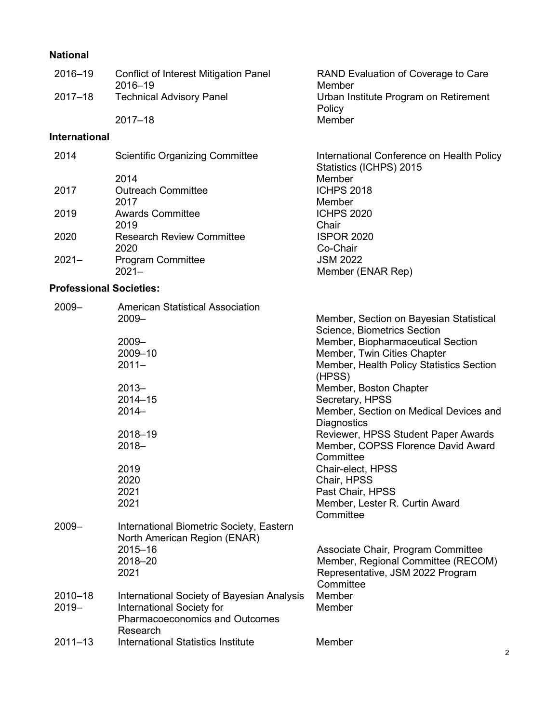# **National**

| 2016-19                        | <b>Conflict of Interest Mitigation Panel</b><br>2016-19 | RAND Evaluation of Coverage to Care<br>Member                        |
|--------------------------------|---------------------------------------------------------|----------------------------------------------------------------------|
| $2017 - 18$                    | <b>Technical Advisory Panel</b>                         | Urban Institute Program on Retirement<br>Policy                      |
|                                | $2017 - 18$                                             | Member                                                               |
| <b>International</b>           |                                                         |                                                                      |
| 2014                           | <b>Scientific Organizing Committee</b>                  | International Conference on Health Policy<br>Statistics (ICHPS) 2015 |
|                                | 2014                                                    | Member                                                               |
| 2017                           | <b>Outreach Committee</b>                               | <b>ICHPS 2018</b>                                                    |
|                                | 2017                                                    | Member                                                               |
| 2019                           | <b>Awards Committee</b>                                 | <b>ICHPS 2020</b>                                                    |
|                                | 2019                                                    | Chair                                                                |
| 2020                           | <b>Research Review Committee</b>                        | <b>ISPOR 2020</b>                                                    |
|                                | 2020                                                    | Co-Chair                                                             |
| $2021 -$                       | <b>Program Committee</b>                                | <b>JSM 2022</b>                                                      |
|                                | $2021 -$                                                | Member (ENAR Rep)                                                    |
| <b>Professional Societies:</b> |                                                         |                                                                      |
|                                |                                                         |                                                                      |

| $2009 -$    | <b>American Statistical Association</b>    |                                                    |
|-------------|--------------------------------------------|----------------------------------------------------|
|             | $2009 -$                                   | Member, Section on Bayesian Statistical            |
|             |                                            | <b>Science, Biometrics Section</b>                 |
|             | $2009 -$                                   | Member, Biopharmaceutical Section                  |
|             | 2009-10                                    | Member, Twin Cities Chapter                        |
|             | $2011 -$                                   | Member, Health Policy Statistics Section<br>(HPSS) |
|             | $2013 -$                                   | Member, Boston Chapter                             |
|             | $2014 - 15$                                | Secretary, HPSS                                    |
|             | $2014 -$                                   | Member, Section on Medical Devices and             |
|             |                                            | Diagnostics                                        |
|             | 2018-19                                    | Reviewer, HPSS Student Paper Awards                |
|             | $2018 -$                                   | Member, COPSS Florence David Award                 |
|             |                                            | Committee                                          |
|             | 2019                                       | Chair-elect, HPSS                                  |
|             | 2020                                       | Chair, HPSS                                        |
|             | 2021                                       | Past Chair, HPSS                                   |
|             | 2021                                       | Member, Lester R. Curtin Award                     |
|             |                                            | Committee                                          |
| $2009 -$    | International Biometric Society, Eastern   |                                                    |
|             | North American Region (ENAR)               |                                                    |
|             | 2015-16                                    | Associate Chair, Program Committee                 |
|             | 2018-20                                    | Member, Regional Committee (RECOM)                 |
|             | 2021                                       | Representative, JSM 2022 Program                   |
|             |                                            | Committee                                          |
| $2010 - 18$ | International Society of Bayesian Analysis | Member                                             |
| $2019 -$    | International Society for                  | Member                                             |
|             | <b>Pharmacoeconomics and Outcomes</b>      |                                                    |
|             | Research                                   |                                                    |
| $2011 - 13$ | International Statistics Institute         | Member                                             |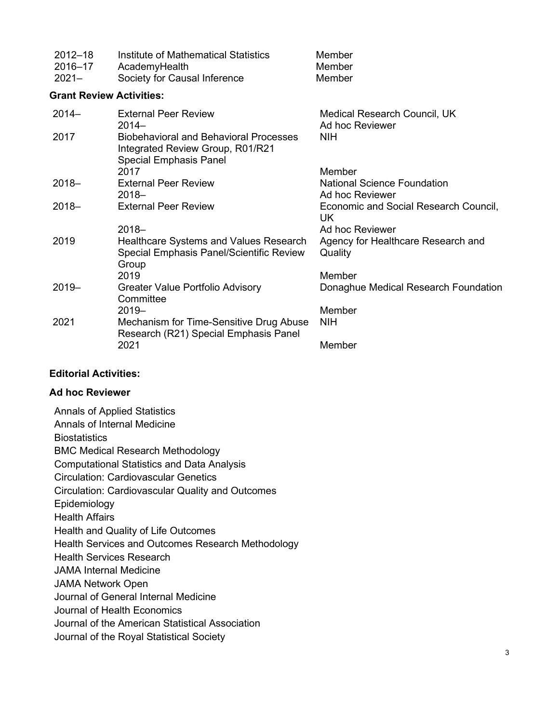| $2012 - 18$<br>2016-17<br>$2021 -$ | Institute of Mathematical Statistics<br>AcademyHealth<br>Society for Causal Inference                              | Member<br>Member<br>Member                            |
|------------------------------------|--------------------------------------------------------------------------------------------------------------------|-------------------------------------------------------|
| <b>Grant Review Activities:</b>    |                                                                                                                    |                                                       |
| $2014 -$                           | <b>External Peer Review</b><br>$2014-$                                                                             | Medical Research Council, UK<br>Ad hoc Reviewer       |
| 2017                               | <b>Biobehavioral and Behavioral Processes</b><br>Integrated Review Group, R01/R21<br><b>Special Emphasis Panel</b> | <b>NIH</b>                                            |
|                                    | 2017                                                                                                               | Member                                                |
| $2018 -$                           | <b>External Peer Review</b><br>$2018 -$                                                                            | <b>National Science Foundation</b><br>Ad hoc Reviewer |
| $2018 -$                           | <b>External Peer Review</b>                                                                                        | Economic and Social Research Council,<br>UK.          |
|                                    | $2018 -$                                                                                                           | Ad hoc Reviewer                                       |
| 2019                               | Healthcare Systems and Values Research<br>Special Emphasis Panel/Scientific Review<br>Group                        | Agency for Healthcare Research and<br>Quality         |
|                                    | 2019                                                                                                               | Member                                                |
| $2019 -$                           | Greater Value Portfolio Advisory<br>Committee                                                                      | Donaghue Medical Research Foundation                  |
|                                    | $2019 -$                                                                                                           | Member                                                |
| 2021                               | Mechanism for Time-Sensitive Drug Abuse<br>Research (R21) Special Emphasis Panel                                   | <b>NIH</b>                                            |
|                                    | 2021                                                                                                               | Member                                                |

# **Editorial Activities:**

## **Ad hoc Reviewer**

| <b>Annals of Applied Statistics</b>                     |
|---------------------------------------------------------|
| Annals of Internal Medicine                             |
| <b>Biostatistics</b>                                    |
| <b>BMC Medical Research Methodology</b>                 |
| <b>Computational Statistics and Data Analysis</b>       |
| <b>Circulation: Cardiovascular Genetics</b>             |
| <b>Circulation: Cardiovascular Quality and Outcomes</b> |
| Epidemiology                                            |
| <b>Health Affairs</b>                                   |
| Health and Quality of Life Outcomes                     |
| Health Services and Outcomes Research Methodology       |
| <b>Health Services Research</b>                         |
| <b>JAMA Internal Medicine</b>                           |
| <b>JAMA Network Open</b>                                |
| Journal of General Internal Medicine                    |
| Journal of Health Economics                             |
| Journal of the American Statistical Association         |
| Journal of the Royal Statistical Society                |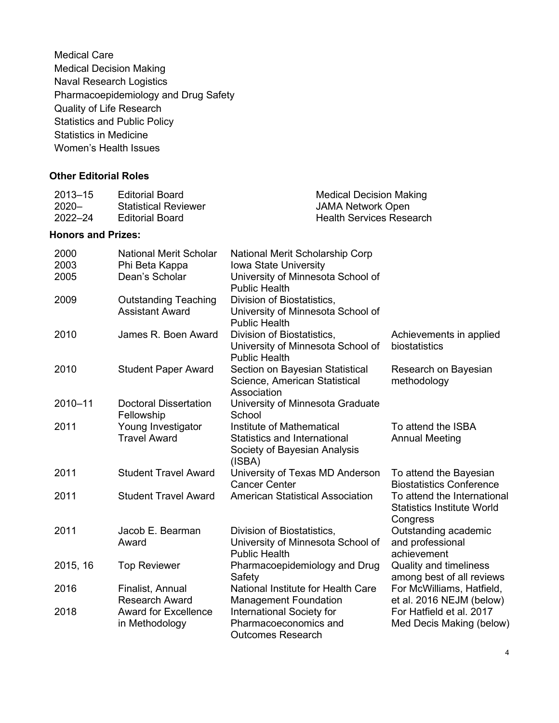Medical Care Medical Decision Making Naval Research Logistics Pharmacoepidemiology and Drug Safety Quality of Life Research Statistics and Public Policy Statistics in Medicine Women's Health Issues

## **Other Editorial Roles**

| 2013–15  | Editorial Board             | <b>Medical Decision Making</b>  |
|----------|-----------------------------|---------------------------------|
| $2020 -$ | <b>Statistical Reviewer</b> | JAMA Network Open               |
| 2022–24  | Editorial Board             | <b>Health Services Research</b> |

#### **Honors and Prizes:**

| 2000     | <b>National Merit Scholar</b>                         | National Merit Scholarship Corp                                                                            |                                                                              |
|----------|-------------------------------------------------------|------------------------------------------------------------------------------------------------------------|------------------------------------------------------------------------------|
| 2003     | Phi Beta Kappa                                        | <b>Iowa State University</b>                                                                               |                                                                              |
| 2005     | Dean's Scholar                                        | University of Minnesota School of<br><b>Public Health</b>                                                  |                                                                              |
| 2009     | <b>Outstanding Teaching</b><br><b>Assistant Award</b> | Division of Biostatistics,<br>University of Minnesota School of<br><b>Public Health</b>                    |                                                                              |
| 2010     | James R. Boen Award                                   | Division of Biostatistics,<br>University of Minnesota School of<br><b>Public Health</b>                    | Achievements in applied<br>biostatistics                                     |
| 2010     | <b>Student Paper Award</b>                            | Section on Bayesian Statistical<br>Science, American Statistical<br>Association                            | Research on Bayesian<br>methodology                                          |
| 2010-11  | <b>Doctoral Dissertation</b><br>Fellowship            | University of Minnesota Graduate<br>School                                                                 |                                                                              |
| 2011     | Young Investigator<br><b>Travel Award</b>             | Institute of Mathematical<br><b>Statistics and International</b><br>Society of Bayesian Analysis<br>(ISBN) | To attend the ISBA<br><b>Annual Meeting</b>                                  |
| 2011     | <b>Student Travel Award</b>                           | University of Texas MD Anderson<br><b>Cancer Center</b>                                                    | To attend the Bayesian<br><b>Biostatistics Conference</b>                    |
| 2011     | <b>Student Travel Award</b>                           | <b>American Statistical Association</b>                                                                    | To attend the International<br><b>Statistics Institute World</b><br>Congress |
| 2011     | Jacob E. Bearman<br>Award                             | Division of Biostatistics,<br>University of Minnesota School of<br><b>Public Health</b>                    | Outstanding academic<br>and professional<br>achievement                      |
| 2015, 16 | <b>Top Reviewer</b>                                   | Pharmacoepidemiology and Drug<br>Safety                                                                    | <b>Quality and timeliness</b><br>among best of all reviews                   |
| 2016     | Finalist, Annual<br><b>Research Award</b>             | National Institute for Health Care<br><b>Management Foundation</b>                                         | For McWilliams, Hatfield,<br>et al. 2016 NEJM (below)                        |
| 2018     | <b>Award for Excellence</b><br>in Methodology         | International Society for<br>Pharmacoeconomics and<br><b>Outcomes Research</b>                             | For Hatfield et al. 2017<br>Med Decis Making (below)                         |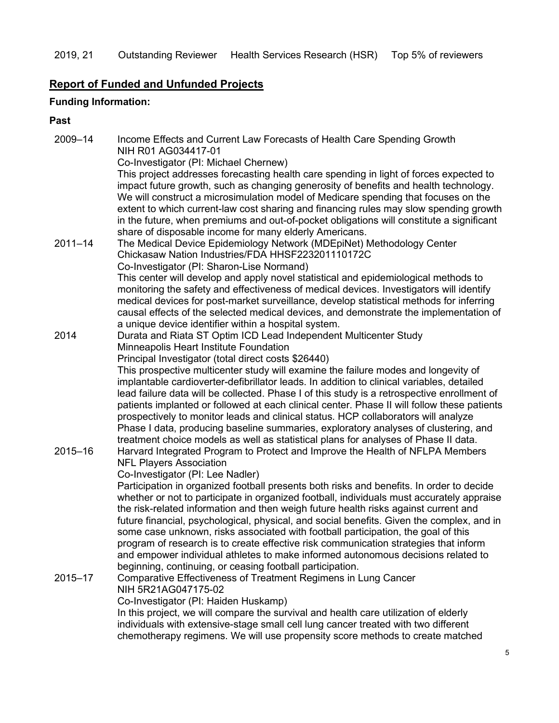# **Report of Funded and Unfunded Projects**

# **Funding Information:**

## **Past**

| 2009-14     | Income Effects and Current Law Forecasts of Health Care Spending Growth                                                                                                                  |
|-------------|------------------------------------------------------------------------------------------------------------------------------------------------------------------------------------------|
|             | NIH R01 AG034417-01<br>Co-Investigator (PI: Michael Chernew)                                                                                                                             |
|             | This project addresses forecasting health care spending in light of forces expected to                                                                                                   |
|             | impact future growth, such as changing generosity of benefits and health technology.                                                                                                     |
|             | We will construct a microsimulation model of Medicare spending that focuses on the                                                                                                       |
|             | extent to which current-law cost sharing and financing rules may slow spending growth                                                                                                    |
|             | in the future, when premiums and out-of-pocket obligations will constitute a significant                                                                                                 |
|             | share of disposable income for many elderly Americans.                                                                                                                                   |
| $2011 - 14$ | The Medical Device Epidemiology Network (MDEpiNet) Methodology Center                                                                                                                    |
|             | Chickasaw Nation Industries/FDA HHSF223201110172C                                                                                                                                        |
|             | Co-Investigator (PI: Sharon-Lise Normand)                                                                                                                                                |
|             | This center will develop and apply novel statistical and epidemiological methods to                                                                                                      |
|             | monitoring the safety and effectiveness of medical devices. Investigators will identify                                                                                                  |
|             | medical devices for post-market surveillance, develop statistical methods for inferring                                                                                                  |
|             | causal effects of the selected medical devices, and demonstrate the implementation of                                                                                                    |
|             | a unique device identifier within a hospital system.                                                                                                                                     |
| 2014        | Durata and Riata ST Optim ICD Lead Independent Multicenter Study                                                                                                                         |
|             | Minneapolis Heart Institute Foundation                                                                                                                                                   |
|             | Principal Investigator (total direct costs \$26440)                                                                                                                                      |
|             | This prospective multicenter study will examine the failure modes and longevity of                                                                                                       |
|             | implantable cardioverter-defibrillator leads. In addition to clinical variables, detailed<br>lead failure data will be collected. Phase I of this study is a retrospective enrollment of |
|             | patients implanted or followed at each clinical center. Phase II will follow these patients                                                                                              |
|             | prospectively to monitor leads and clinical status. HCP collaborators will analyze                                                                                                       |
|             | Phase I data, producing baseline summaries, exploratory analyses of clustering, and                                                                                                      |
|             | treatment choice models as well as statistical plans for analyses of Phase II data.                                                                                                      |
| 2015-16     | Harvard Integrated Program to Protect and Improve the Health of NFLPA Members                                                                                                            |
|             | <b>NFL Players Association</b>                                                                                                                                                           |
|             | Co-Investigator (PI: Lee Nadler)                                                                                                                                                         |
|             | Participation in organized football presents both risks and benefits. In order to decide                                                                                                 |
|             | whether or not to participate in organized football, individuals must accurately appraise                                                                                                |
|             | the risk-related information and then weigh future health risks against current and                                                                                                      |
|             | future financial, psychological, physical, and social benefits. Given the complex, and in                                                                                                |
|             | some case unknown, risks associated with football participation, the goal of this                                                                                                        |
|             | program of research is to create effective risk communication strategies that inform                                                                                                     |
|             | and empower individual athletes to make informed autonomous decisions related to                                                                                                         |
|             | beginning, continuing, or ceasing football participation.                                                                                                                                |
| $2015 - 17$ | Comparative Effectiveness of Treatment Regimens in Lung Cancer<br>NIH 5R21AG047175-02                                                                                                    |
|             | Co-Investigator (PI: Haiden Huskamp)                                                                                                                                                     |
|             | In this project, we will compare the survival and health care utilization of elderly                                                                                                     |
|             | individuals with extensive-stage small cell lung cancer treated with two different                                                                                                       |
|             | chemotherapy regimens. We will use propensity score methods to create matched                                                                                                            |
|             |                                                                                                                                                                                          |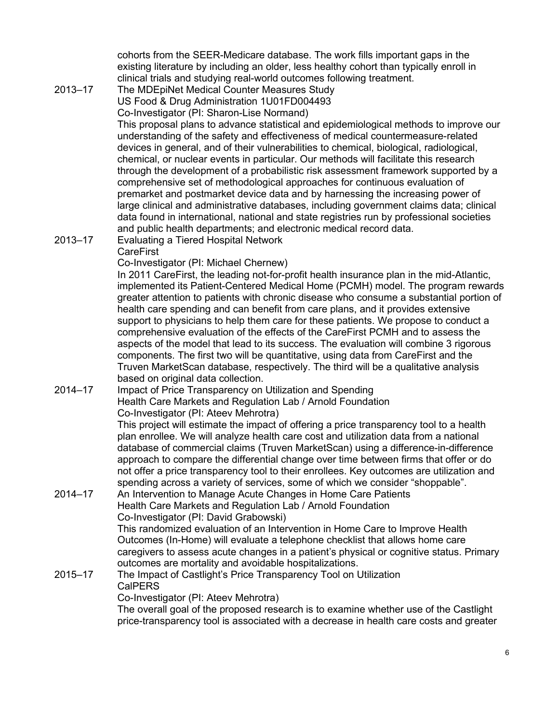cohorts from the SEER-Medicare database. The work fills important gaps in the existing literature by including an older, less healthy cohort than typically enroll in clinical trials and studying real-world outcomes following treatment.

2013–17 The MDEpiNet Medical Counter Measures Study US Food & Drug Administration 1U01FD004493 Co-Investigator (PI: Sharon-Lise Normand)

This proposal plans to advance statistical and epidemiological methods to improve our understanding of the safety and effectiveness of medical countermeasure-related devices in general, and of their vulnerabilities to chemical, biological, radiological, chemical, or nuclear events in particular. Our methods will facilitate this research through the development of a probabilistic risk assessment framework supported by a comprehensive set of methodological approaches for continuous evaluation of premarket and postmarket device data and by harnessing the increasing power of large clinical and administrative databases, including government claims data; clinical data found in international, national and state registries run by professional societies and public health departments; and electronic medical record data.

2013–17 Evaluating a Tiered Hospital Network

## **CareFirst**

Co-Investigator (PI: Michael Chernew)

In 2011 CareFirst, the leading not-for-profit health insurance plan in the mid-Atlantic, implemented its Patient-Centered Medical Home (PCMH) model. The program rewards greater attention to patients with chronic disease who consume a substantial portion of health care spending and can benefit from care plans, and it provides extensive support to physicians to help them care for these patients. We propose to conduct a comprehensive evaluation of the effects of the CareFirst PCMH and to assess the aspects of the model that lead to its success. The evaluation will combine 3 rigorous components. The first two will be quantitative, using data from CareFirst and the Truven MarketScan database, respectively. The third will be a qualitative analysis based on original data collection.

#### 2014–17 Impact of Price Transparency on Utilization and Spending Health Care Markets and Regulation Lab / Arnold Foundation

#### Co-Investigator (PI: Ateev Mehrotra)

This project will estimate the impact of offering a price transparency tool to a health plan enrollee. We will analyze health care cost and utilization data from a national database of commercial claims (Truven MarketScan) using a difference-in-difference approach to compare the differential change over time between firms that offer or do not offer a price transparency tool to their enrollees. Key outcomes are utilization and spending across a variety of services, some of which we consider "shoppable".

2014–17 An Intervention to Manage Acute Changes in Home Care Patients Health Care Markets and Regulation Lab / Arnold Foundation Co-Investigator (PI: David Grabowski) This randomized evaluation of an Intervention in Home Care to Improve Health

Outcomes (In-Home) will evaluate a telephone checklist that allows home care caregivers to assess acute changes in a patient's physical or cognitive status. Primary outcomes are mortality and avoidable hospitalizations.

## 2015–17 The Impact of Castlight's Price Transparency Tool on Utilization CalPERS

Co-Investigator (PI: Ateev Mehrotra)

The overall goal of the proposed research is to examine whether use of the Castlight price-transparency tool is associated with a decrease in health care costs and greater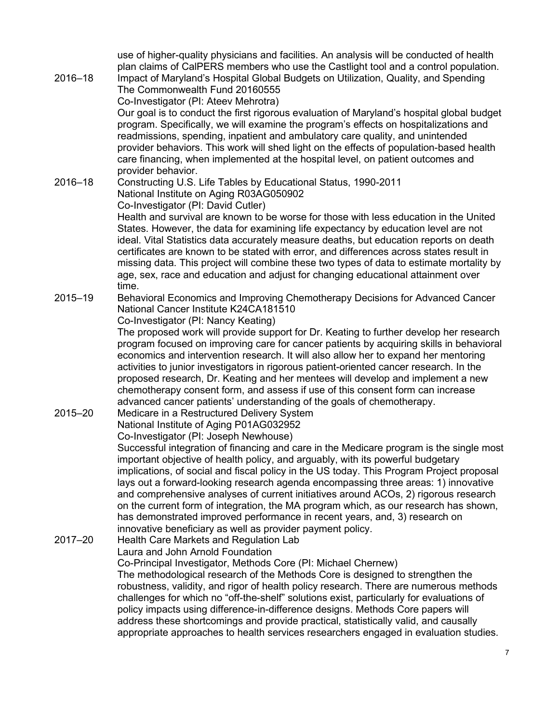use of higher-quality physicians and facilities. An analysis will be conducted of health plan claims of CalPERS members who use the Castlight tool and a control population. 2016–18 Impact of Maryland's Hospital Global Budgets on Utilization, Quality, and Spending The Commonwealth Fund 20160555 Co-Investigator (PI: Ateev Mehrotra) Our goal is to conduct the first rigorous evaluation of Maryland's hospital global budget program. Specifically, we will examine the program's effects on hospitalizations and readmissions, spending, inpatient and ambulatory care quality, and unintended provider behaviors. This work will shed light on the effects of population-based health care financing, when implemented at the hospital level, on patient outcomes and provider behavior. 2016–18 Constructing U.S. Life Tables by Educational Status, 1990-2011 National Institute on Aging R03AG050902 Co-Investigator (PI: David Cutler) Health and survival are known to be worse for those with less education in the United States. However, the data for examining life expectancy by education level are not ideal. Vital Statistics data accurately measure deaths, but education reports on death certificates are known to be stated with error, and differences across states result in missing data. This project will combine these two types of data to estimate mortality by age, sex, race and education and adjust for changing educational attainment over time. 2015–19 Behavioral Economics and Improving Chemotherapy Decisions for Advanced Cancer National Cancer Institute K24CA181510 Co-Investigator (PI: Nancy Keating) The proposed work will provide support for Dr. Keating to further develop her research program focused on improving care for cancer patients by acquiring skills in behavioral economics and intervention research. It will also allow her to expand her mentoring activities to junior investigators in rigorous patient-oriented cancer research. In the proposed research, Dr. Keating and her mentees will develop and implement a new chemotherapy consent form, and assess if use of this consent form can increase advanced cancer patients' understanding of the goals of chemotherapy. 2015–20 Medicare in a Restructured Delivery System National Institute of Aging P01AG032952 Co-Investigator (PI: Joseph Newhouse) Successful integration of financing and care in the Medicare program is the single most important objective of health policy, and arguably, with its powerful budgetary implications, of social and fiscal policy in the US today. This Program Project proposal lays out a forward-looking research agenda encompassing three areas: 1) innovative and comprehensive analyses of current initiatives around ACOs, 2) rigorous research on the current form of integration, the MA program which, as our research has shown, has demonstrated improved performance in recent years, and, 3) research on innovative beneficiary as well as provider payment policy. 2017–20 Health Care Markets and Regulation Lab Laura and John Arnold Foundation Co-Principal Investigator, Methods Core (PI: Michael Chernew) The methodological research of the Methods Core is designed to strengthen the robustness, validity, and rigor of health policy research. There are numerous methods challenges for which no "off-the-shelf" solutions exist, particularly for evaluations of policy impacts using difference-in-difference designs. Methods Core papers will address these shortcomings and provide practical, statistically valid, and causally

appropriate approaches to health services researchers engaged in evaluation studies.

7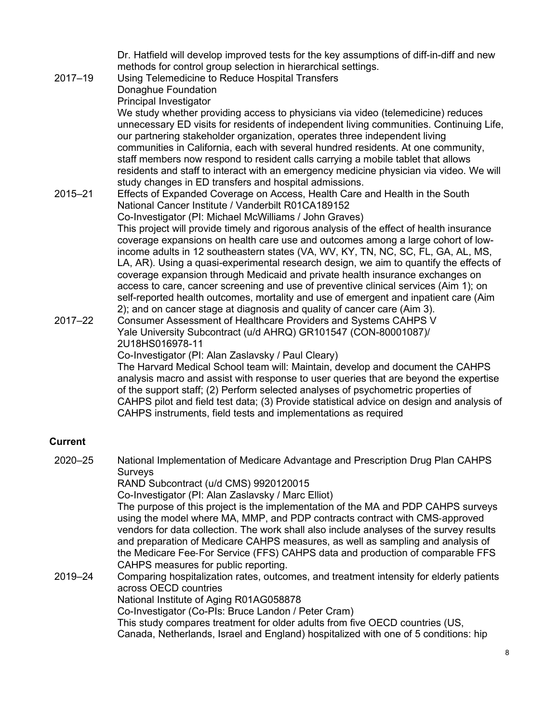Dr. Hatfield will develop improved tests for the key assumptions of diff-in-diff and new methods for control group selection in hierarchical settings. 2017–19 Using Telemedicine to Reduce Hospital Transfers Donaghue Foundation Principal Investigator We study whether providing access to physicians via video (telemedicine) reduces unnecessary ED visits for residents of independent living communities. Continuing Life, our partnering stakeholder organization, operates three independent living communities in California, each with several hundred residents. At one community, staff members now respond to resident calls carrying a mobile tablet that allows residents and staff to interact with an emergency medicine physician via video. We will study changes in ED transfers and hospital admissions. 2015–21 Effects of Expanded Coverage on Access, Health Care and Health in the South National Cancer Institute / Vanderbilt R01CA189152 Co-Investigator (PI: Michael McWilliams / John Graves) This project will provide timely and rigorous analysis of the effect of health insurance coverage expansions on health care use and outcomes among a large cohort of lowincome adults in 12 southeastern states (VA, WV, KY, TN, NC, SC, FL, GA, AL, MS, LA, AR). Using a quasi-experimental research design, we aim to quantify the effects of coverage expansion through Medicaid and private health insurance exchanges on access to care, cancer screening and use of preventive clinical services (Aim 1); on self-reported health outcomes, mortality and use of emergent and inpatient care (Aim 2); and on cancer stage at diagnosis and quality of cancer care (Aim 3). 2017–22 Consumer Assessment of Healthcare Providers and Systems CAHPS V Yale University Subcontract (u/d AHRQ) GR101547 (CON-80001087)/ 2U18HS016978-11 Co-Investigator (PI: Alan Zaslavsky / Paul Cleary)

The Harvard Medical School team will: Maintain, develop and document the CAHPS analysis macro and assist with response to user queries that are beyond the expertise of the support staff; (2) Perform selected analyses of psychometric properties of CAHPS pilot and field test data; (3) Provide statistical advice on design and analysis of CAHPS instruments, field tests and implementations as required

## **Current**

| $2020 - 25$ | National Implementation of Medicare Advantage and Prescription Drug Plan CAHPS                                                                                                                                                                            |  |  |  |
|-------------|-----------------------------------------------------------------------------------------------------------------------------------------------------------------------------------------------------------------------------------------------------------|--|--|--|
|             | Surveys                                                                                                                                                                                                                                                   |  |  |  |
|             | RAND Subcontract (u/d CMS) 9920120015                                                                                                                                                                                                                     |  |  |  |
|             | Co-Investigator (PI: Alan Zaslavsky / Marc Elliot)                                                                                                                                                                                                        |  |  |  |
|             | The purpose of this project is the implementation of the MA and PDP CAHPS surveys                                                                                                                                                                         |  |  |  |
|             | using the model where MA, MMP, and PDP contracts contract with CMS-approved<br>vendors for data collection. The work shall also include analyses of the survey results<br>and preparation of Medicare CAHPS measures, as well as sampling and analysis of |  |  |  |
|             | the Medicare Fee-For Service (FFS) CAHPS data and production of comparable FFS                                                                                                                                                                            |  |  |  |
|             | CAHPS measures for public reporting.                                                                                                                                                                                                                      |  |  |  |
| 2019-24     | Comparing hospitalization rates, outcomes, and treatment intensity for elderly patients<br>across OECD countries                                                                                                                                          |  |  |  |
|             | National Institute of Aging R01AG058878                                                                                                                                                                                                                   |  |  |  |
|             | Co-Investigator (Co-PIs: Bruce Landon / Peter Cram)                                                                                                                                                                                                       |  |  |  |
|             | This study compares treatment for older adults from five OECD countries (US,                                                                                                                                                                              |  |  |  |
|             | Canada, Netherlands, Israel and England) hospitalized with one of 5 conditions: hip                                                                                                                                                                       |  |  |  |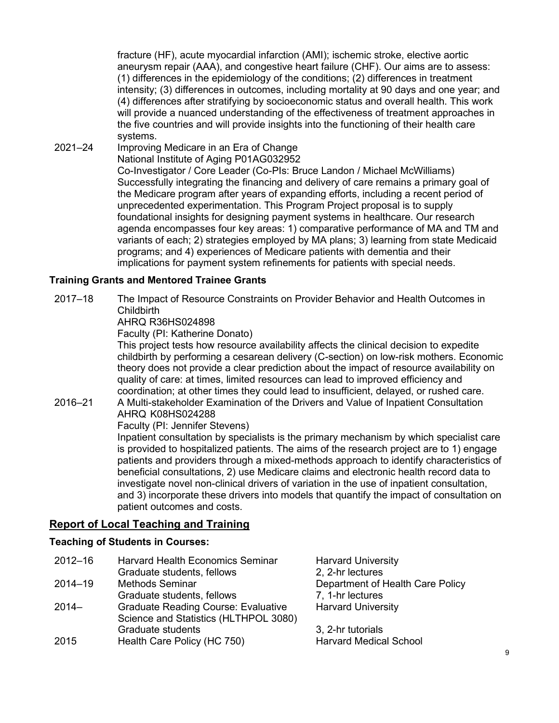fracture (HF), acute myocardial infarction (AMI); ischemic stroke, elective aortic aneurysm repair (AAA), and congestive heart failure (CHF). Our aims are to assess: (1) differences in the epidemiology of the conditions; (2) differences in treatment intensity; (3) differences in outcomes, including mortality at 90 days and one year; and (4) differences after stratifying by socioeconomic status and overall health. This work will provide a nuanced understanding of the effectiveness of treatment approaches in the five countries and will provide insights into the functioning of their health care systems.

2021–24 Improving Medicare in an Era of Change National Institute of Aging P01AG032952 Co-Investigator / Core Leader (Co-PIs: Bruce Landon / Michael McWilliams) Successfully integrating the financing and delivery of care remains a primary goal of the Medicare program after years of expanding efforts, including a recent period of unprecedented experimentation. This Program Project proposal is to supply foundational insights for designing payment systems in healthcare. Our research agenda encompasses four key areas: 1) comparative performance of MA and TM and variants of each; 2) strategies employed by MA plans; 3) learning from state Medicaid programs; and 4) experiences of Medicare patients with dementia and their implications for payment system refinements for patients with special needs.

## **Training Grants and Mentored Trainee Grants**

2017–18 The Impact of Resource Constraints on Provider Behavior and Health Outcomes in Childbirth

AHRQ R36HS024898

Faculty (PI: Katherine Donato)

This project tests how resource availability affects the clinical decision to expedite childbirth by performing a cesarean delivery (C-section) on low-risk mothers. Economic theory does not provide a clear prediction about the impact of resource availability on quality of care: at times, limited resources can lead to improved efficiency and coordination; at other times they could lead to insufficient, delayed, or rushed care.

# 2016–21 A Multi-stakeholder Examination of the Drivers and Value of Inpatient Consultation AHRQ K08HS024288

Faculty (PI: Jennifer Stevens)

Inpatient consultation by specialists is the primary mechanism by which specialist care is provided to hospitalized patients. The aims of the research project are to 1) engage patients and providers through a mixed-methods approach to identify characteristics of beneficial consultations, 2) use Medicare claims and electronic health record data to investigate novel non-clinical drivers of variation in the use of inpatient consultation, and 3) incorporate these drivers into models that quantify the impact of consultation on patient outcomes and costs.

## **Report of Local Teaching and Training**

#### **Teaching of Students in Courses:**

| $2012 - 16$ | <b>Harvard Health Economics Seminar</b>    | <b>Harvard University</b>        |
|-------------|--------------------------------------------|----------------------------------|
|             | Graduate students, fellows                 | 2, 2-hr lectures                 |
| $2014 - 19$ | <b>Methods Seminar</b>                     | Department of Health Care Policy |
|             | Graduate students, fellows                 | 7, 1-hr lectures                 |
| $2014-$     | <b>Graduate Reading Course: Evaluative</b> | <b>Harvard University</b>        |
|             | Science and Statistics (HLTHPOL 3080)      |                                  |
|             | Graduate students                          | 3, 2-hr tutorials                |
| 2015        | Health Care Policy (HC 750)                | <b>Harvard Medical School</b>    |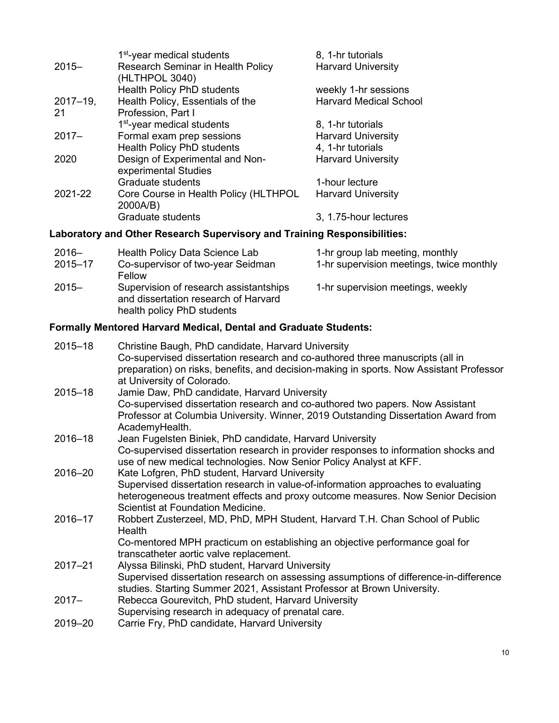|               | 1 <sup>st</sup> -year medical students | 8, 1-hr tutorials             |
|---------------|----------------------------------------|-------------------------------|
| $2015 -$      | Research Seminar in Health Policy      | <b>Harvard University</b>     |
|               | (HLTHPOL 3040)                         |                               |
|               | <b>Health Policy PhD students</b>      | weekly 1-hr sessions          |
| $2017 - 19$ , | Health Policy, Essentials of the       | <b>Harvard Medical School</b> |
| -21           | Profession, Part I                     |                               |
|               | 1 <sup>st</sup> -year medical students | 8, 1-hr tutorials             |
| $2017 -$      | Formal exam prep sessions              | <b>Harvard University</b>     |
|               | Health Policy PhD students             | 4, 1-hr tutorials             |
| 2020          | Design of Experimental and Non-        | <b>Harvard University</b>     |
|               | experimental Studies                   |                               |
|               | Graduate students                      | 1-hour lecture                |
| 2021-22       | Core Course in Health Policy (HLTHPOL  | <b>Harvard University</b>     |
|               | 2000A/B)                               |                               |
|               | <b>Graduate students</b>               | 3, 1.75-hour lectures         |
|               |                                        |                               |

# **Laboratory and Other Research Supervisory and Training Responsibilities:**

| $2016 -$<br>$2015 - 17$ | Health Policy Data Science Lab<br>Co-supervisor of two-year Seidman                                          | 1-hr group lab meeting, monthly<br>1-hr supervision meetings, twice monthly |
|-------------------------|--------------------------------------------------------------------------------------------------------------|-----------------------------------------------------------------------------|
|                         | Fellow                                                                                                       |                                                                             |
| $2015 -$                | Supervision of research assistantships<br>and dissertation research of Harvard<br>health policy PhD students | 1-hr supervision meetings, weekly                                           |

# **Formally Mentored Harvard Medical, Dental and Graduate Students:**

| $2015 - 18$ | Christine Baugh, PhD candidate, Harvard University                                      |
|-------------|-----------------------------------------------------------------------------------------|
|             | Co-supervised dissertation research and co-authored three manuscripts (all in           |
|             | preparation) on risks, benefits, and decision-making in sports. Now Assistant Professor |
|             | at University of Colorado.                                                              |
| $2015 - 18$ | Jamie Daw, PhD candidate, Harvard University                                            |
|             | Co-supervised dissertation research and co-authored two papers. Now Assistant           |
|             | Professor at Columbia University. Winner, 2019 Outstanding Dissertation Award from      |
|             | AcademyHealth.                                                                          |
| $2016 - 18$ | Jean Fugelsten Biniek, PhD candidate, Harvard University                                |
|             | Co-supervised dissertation research in provider responses to information shocks and     |
|             | use of new medical technologies. Now Senior Policy Analyst at KFF.                      |
| 2016-20     | Kate Lofgren, PhD student, Harvard University                                           |
|             | Supervised dissertation research in value-of-information approaches to evaluating       |
|             | heterogeneous treatment effects and proxy outcome measures. Now Senior Decision         |
|             | Scientist at Foundation Medicine.                                                       |
| 2016-17     | Robbert Zusterzeel, MD, PhD, MPH Student, Harvard T.H. Chan School of Public            |
|             | Health                                                                                  |
|             | Co-mentored MPH practicum on establishing an objective performance goal for             |
|             | transcatheter aortic valve replacement.                                                 |
| $2017 - 21$ | Alyssa Bilinski, PhD student, Harvard University                                        |
|             | Supervised dissertation research on assessing assumptions of difference-in-difference   |
|             | studies. Starting Summer 2021, Assistant Professor at Brown University.                 |
| $2017 -$    | Rebecca Gourevitch, PhD student, Harvard University                                     |
|             | Supervising research in adequacy of prenatal care.                                      |
| 2019-20     | Carrie Fry, PhD candidate, Harvard University                                           |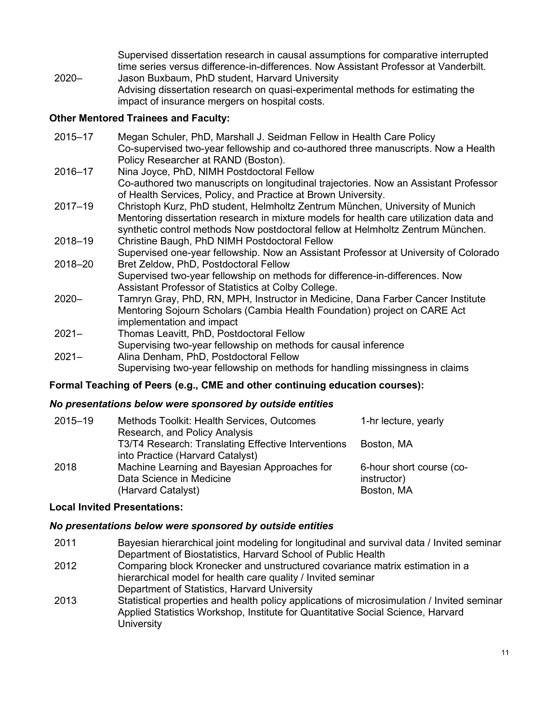Supervised dissertation research in causal assumptions for comparative interrupted time series versus difference-in-differences. Now Assistant Professor at Vanderbilt. 2020– Jason Buxbaum, PhD student, Harvard University Advising dissertation research on quasi-experimental methods for estimating the impact of insurance mergers on hospital costs.

#### **Other Mentored Trainees and Faculty:**

| $2015 - 17$ | Megan Schuler, PhD, Marshall J. Seidman Fellow in Health Care Policy<br>Co-supervised two-year fellowship and co-authored three manuscripts. Now a Health<br>Policy Researcher at RAND (Boston). |
|-------------|--------------------------------------------------------------------------------------------------------------------------------------------------------------------------------------------------|
| 2016-17     | Nina Joyce, PhD, NIMH Postdoctoral Fellow<br>Co-authored two manuscripts on longitudinal trajectories. Now an Assistant Professor                                                                |
|             | of Health Services, Policy, and Practice at Brown University.                                                                                                                                    |
| $2017 - 19$ | Christoph Kurz, PhD student, Helmholtz Zentrum München, University of Munich                                                                                                                     |
|             | Mentoring dissertation research in mixture models for health care utilization data and<br>synthetic control methods Now postdoctoral fellow at Helmholtz Zentrum München.                        |
| 2018-19     | Christine Baugh, PhD NIMH Postdoctoral Fellow                                                                                                                                                    |
| 2018-20     | Supervised one-year fellowship. Now an Assistant Professor at University of Colorado<br>Bret Zeldow, PhD, Postdoctoral Fellow                                                                    |
|             | Supervised two-year fellowship on methods for difference-in-differences. Now                                                                                                                     |
|             | Assistant Professor of Statistics at Colby College.                                                                                                                                              |
| $2020 -$    | Tamryn Gray, PhD, RN, MPH, Instructor in Medicine, Dana Farber Cancer Institute                                                                                                                  |
|             | Mentoring Sojourn Scholars (Cambia Health Foundation) project on CARE Act<br>implementation and impact                                                                                           |
| $2021 -$    | Thomas Leavitt, PhD, Postdoctoral Fellow                                                                                                                                                         |
|             | Supervising two-year fellowship on methods for causal inference                                                                                                                                  |
| $2021 -$    | Alina Denham, PhD, Postdoctoral Fellow                                                                                                                                                           |
|             | Supervising two-year fellowship on methods for handling missingness in claims                                                                                                                    |

#### **Formal Teaching of Peers (e.g., CME and other continuing education courses):**

#### *No presentations below were sponsored by outside entities*

| 2015-19 | Methods Toolkit: Health Services, Outcomes          | 1-hr lecture, yearly     |
|---------|-----------------------------------------------------|--------------------------|
|         | Research, and Policy Analysis                       |                          |
|         | T3/T4 Research: Translating Effective Interventions | Boston, MA               |
|         | into Practice (Harvard Catalyst)                    |                          |
| 2018    | Machine Learning and Bayesian Approaches for        | 6-hour short course (co- |
|         | Data Science in Medicine                            | instructor)              |
|         | (Harvard Catalyst)                                  | Boston, MA               |

#### **Local Invited Presentations:**

#### *No presentations below were sponsored by outside entities*

- 2011 Bayesian hierarchical joint modeling for longitudinal and survival data / Invited seminar Department of Biostatistics, Harvard School of Public Health
- 2012 Comparing block Kronecker and unstructured covariance matrix estimation in a hierarchical model for health care quality / Invited seminar Department of Statistics, Harvard University
- 2013 Statistical properties and health policy applications of microsimulation / Invited seminar Applied Statistics Workshop, Institute for Quantitative Social Science, Harvard **University**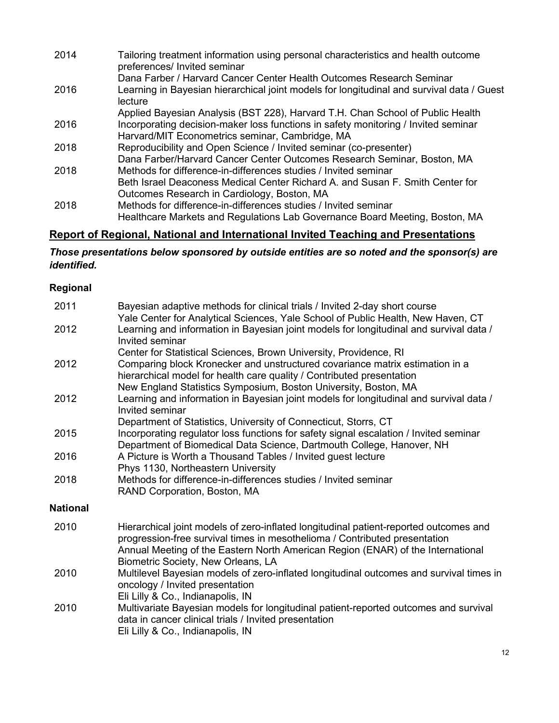| 2014 | Tailoring treatment information using personal characteristics and health outcome<br>preferences/ Invited seminar |
|------|-------------------------------------------------------------------------------------------------------------------|
|      | Dana Farber / Harvard Cancer Center Health Outcomes Research Seminar                                              |
| 2016 | Learning in Bayesian hierarchical joint models for longitudinal and survival data / Guest<br>lecture              |
|      | Applied Bayesian Analysis (BST 228), Harvard T.H. Chan School of Public Health                                    |
| 2016 | Incorporating decision-maker loss functions in safety monitoring / Invited seminar                                |
|      | Harvard/MIT Econometrics seminar, Cambridge, MA                                                                   |
| 2018 | Reproducibility and Open Science / Invited seminar (co-presenter)                                                 |
|      | Dana Farber/Harvard Cancer Center Outcomes Research Seminar, Boston, MA                                           |
| 2018 | Methods for difference-in-differences studies / Invited seminar                                                   |
|      | Beth Israel Deaconess Medical Center Richard A. and Susan F. Smith Center for                                     |
|      | Outcomes Research in Cardiology, Boston, MA                                                                       |
| 2018 | Methods for difference-in-differences studies / Invited seminar                                                   |
|      | Healthcare Markets and Regulations Lab Governance Board Meeting, Boston, MA                                       |

# **Report of Regional, National and International Invited Teaching and Presentations**

## *Those presentations below sponsored by outside entities are so noted and the sponsor(s) are identified.*

## **Regional**

| 2011            | Bayesian adaptive methods for clinical trials / Invited 2-day short course<br>Yale Center for Analytical Sciences, Yale School of Public Health, New Haven, CT                                                                                                                               |
|-----------------|----------------------------------------------------------------------------------------------------------------------------------------------------------------------------------------------------------------------------------------------------------------------------------------------|
| 2012            | Learning and information in Bayesian joint models for longitudinal and survival data /<br>Invited seminar                                                                                                                                                                                    |
|                 | Center for Statistical Sciences, Brown University, Providence, RI                                                                                                                                                                                                                            |
| 2012            | Comparing block Kronecker and unstructured covariance matrix estimation in a<br>hierarchical model for health care quality / Contributed presentation<br>New England Statistics Symposium, Boston University, Boston, MA                                                                     |
| 2012            | Learning and information in Bayesian joint models for longitudinal and survival data /<br>Invited seminar                                                                                                                                                                                    |
| 2015            | Department of Statistics, University of Connecticut, Storrs, CT<br>Incorporating regulator loss functions for safety signal escalation / Invited seminar<br>Department of Biomedical Data Science, Dartmouth College, Hanover, NH                                                            |
| 2016            | A Picture is Worth a Thousand Tables / Invited guest lecture<br>Phys 1130, Northeastern University                                                                                                                                                                                           |
| 2018            | Methods for difference-in-differences studies / Invited seminar<br>RAND Corporation, Boston, MA                                                                                                                                                                                              |
| <b>National</b> |                                                                                                                                                                                                                                                                                              |
| 2010            | Hierarchical joint models of zero-inflated longitudinal patient-reported outcomes and<br>progression-free survival times in mesothelioma / Contributed presentation<br>Annual Meeting of the Eastern North American Region (ENAR) of the International<br>Biometric Society, New Orleans, LA |
| 2010            | Multilevel Bayesian models of zero-inflated longitudinal outcomes and survival times in<br>oncology / Invited presentation<br>Eli Lilly & Co., Indianapolis, IN                                                                                                                              |
| 2010            | Multivariate Bayesian models for longitudinal patient-reported outcomes and survival<br>data in cancer clinical trials / Invited presentation<br>Eli Lilly & Co., Indianapolis, IN                                                                                                           |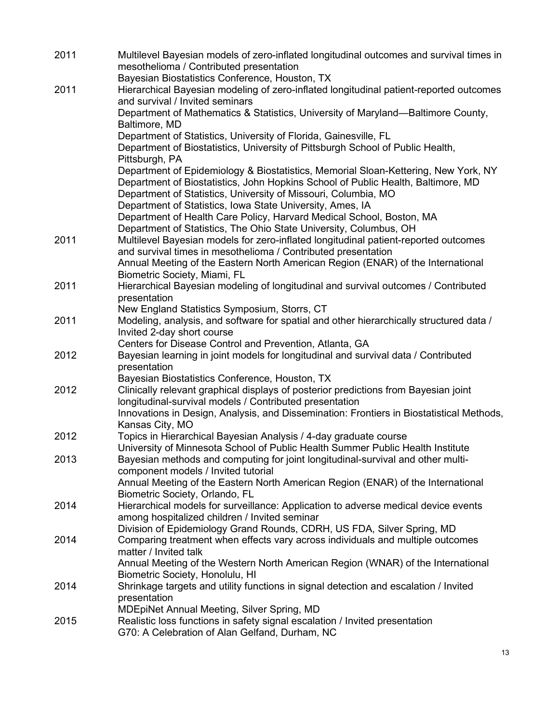| 2011 | Multilevel Bayesian models of zero-inflated longitudinal outcomes and survival times in<br>mesothelioma / Contributed presentation                                          |
|------|-----------------------------------------------------------------------------------------------------------------------------------------------------------------------------|
| 2011 | Bayesian Biostatistics Conference, Houston, TX<br>Hierarchical Bayesian modeling of zero-inflated longitudinal patient-reported outcomes<br>and survival / Invited seminars |
|      | Department of Mathematics & Statistics, University of Maryland—Baltimore County,<br>Baltimore, MD                                                                           |
|      | Department of Statistics, University of Florida, Gainesville, FL                                                                                                            |
|      | Department of Biostatistics, University of Pittsburgh School of Public Health,<br>Pittsburgh, PA                                                                            |
|      | Department of Epidemiology & Biostatistics, Memorial Sloan-Kettering, New York, NY<br>Department of Biostatistics, John Hopkins School of Public Health, Baltimore, MD      |
|      | Department of Statistics, University of Missouri, Columbia, MO                                                                                                              |
|      | Department of Statistics, Iowa State University, Ames, IA                                                                                                                   |
|      | Department of Health Care Policy, Harvard Medical School, Boston, MA<br>Department of Statistics, The Ohio State University, Columbus, OH                                   |
| 2011 | Multilevel Bayesian models for zero-inflated longitudinal patient-reported outcomes                                                                                         |
|      | and survival times in mesothelioma / Contributed presentation                                                                                                               |
|      | Annual Meeting of the Eastern North American Region (ENAR) of the International                                                                                             |
| 2011 | Biometric Society, Miami, FL<br>Hierarchical Bayesian modeling of longitudinal and survival outcomes / Contributed                                                          |
|      | presentation                                                                                                                                                                |
|      | New England Statistics Symposium, Storrs, CT                                                                                                                                |
| 2011 | Modeling, analysis, and software for spatial and other hierarchically structured data /<br>Invited 2-day short course                                                       |
|      | Centers for Disease Control and Prevention, Atlanta, GA                                                                                                                     |
| 2012 | Bayesian learning in joint models for longitudinal and survival data / Contributed<br>presentation                                                                          |
|      | Bayesian Biostatistics Conference, Houston, TX                                                                                                                              |
| 2012 | Clinically relevant graphical displays of posterior predictions from Bayesian joint<br>longitudinal-survival models / Contributed presentation                              |
|      | Innovations in Design, Analysis, and Dissemination: Frontiers in Biostatistical Methods,<br>Kansas City, MO                                                                 |
| 2012 | Topics in Hierarchical Bayesian Analysis / 4-day graduate course                                                                                                            |
|      | University of Minnesota School of Public Health Summer Public Health Institute                                                                                              |
| 2013 | Bayesian methods and computing for joint longitudinal-survival and other multi-<br>component models / Invited tutorial                                                      |
|      | Annual Meeting of the Eastern North American Region (ENAR) of the International                                                                                             |
| 2014 | Biometric Society, Orlando, FL<br>Hierarchical models for surveillance: Application to adverse medical device events                                                        |
|      | among hospitalized children / Invited seminar                                                                                                                               |
|      | Division of Epidemiology Grand Rounds, CDRH, US FDA, Silver Spring, MD                                                                                                      |
| 2014 | Comparing treatment when effects vary across individuals and multiple outcomes<br>matter / Invited talk                                                                     |
|      | Annual Meeting of the Western North American Region (WNAR) of the International<br>Biometric Society, Honolulu, HI                                                          |
| 2014 | Shrinkage targets and utility functions in signal detection and escalation / Invited                                                                                        |
|      | presentation                                                                                                                                                                |
|      | <b>MDEpiNet Annual Meeting, Silver Spring, MD</b>                                                                                                                           |
| 2015 | Realistic loss functions in safety signal escalation / Invited presentation<br>G70: A Celebration of Alan Gelfand, Durham, NC                                               |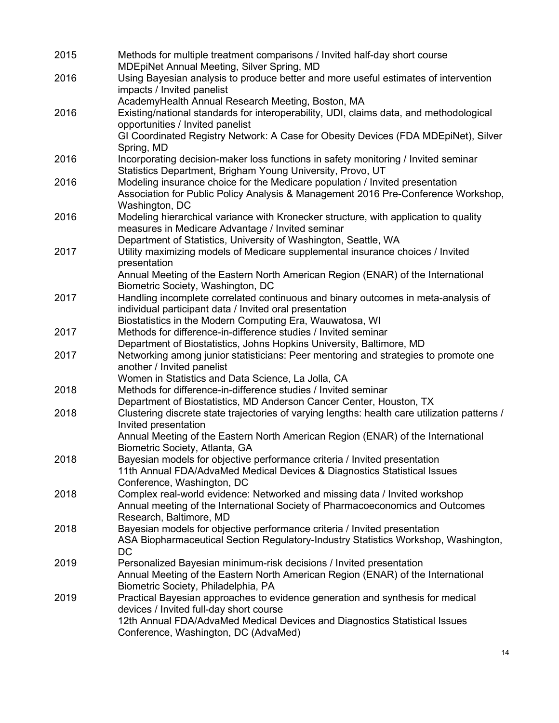| 2015 | Methods for multiple treatment comparisons / Invited half-day short course<br><b>MDEpiNet Annual Meeting, Silver Spring, MD</b> |
|------|---------------------------------------------------------------------------------------------------------------------------------|
| 2016 | Using Bayesian analysis to produce better and more useful estimates of intervention<br>impacts / Invited panelist               |
|      | AcademyHealth Annual Research Meeting, Boston, MA                                                                               |
| 2016 | Existing/national standards for interoperability, UDI, claims data, and methodological                                          |
|      | opportunities / Invited panelist                                                                                                |
|      | GI Coordinated Registry Network: A Case for Obesity Devices (FDA MDEpiNet), Silver<br>Spring, MD                                |
| 2016 | Incorporating decision-maker loss functions in safety monitoring / Invited seminar                                              |
|      | Statistics Department, Brigham Young University, Provo, UT                                                                      |
| 2016 | Modeling insurance choice for the Medicare population / Invited presentation                                                    |
|      | Association for Public Policy Analysis & Management 2016 Pre-Conference Workshop,                                               |
|      | Washington, DC                                                                                                                  |
| 2016 | Modeling hierarchical variance with Kronecker structure, with application to quality                                            |
|      | measures in Medicare Advantage / Invited seminar                                                                                |
|      | Department of Statistics, University of Washington, Seattle, WA                                                                 |
| 2017 | Utility maximizing models of Medicare supplemental insurance choices / Invited                                                  |
|      | presentation                                                                                                                    |
|      | Annual Meeting of the Eastern North American Region (ENAR) of the International<br>Biometric Society, Washington, DC            |
| 2017 | Handling incomplete correlated continuous and binary outcomes in meta-analysis of                                               |
|      | individual participant data / Invited oral presentation                                                                         |
|      | Biostatistics in the Modern Computing Era, Wauwatosa, WI                                                                        |
| 2017 | Methods for difference-in-difference studies / Invited seminar                                                                  |
|      | Department of Biostatistics, Johns Hopkins University, Baltimore, MD                                                            |
| 2017 | Networking among junior statisticians: Peer mentoring and strategies to promote one                                             |
|      | another / Invited panelist                                                                                                      |
|      | Women in Statistics and Data Science, La Jolla, CA                                                                              |
| 2018 | Methods for difference-in-difference studies / Invited seminar                                                                  |
|      | Department of Biostatistics, MD Anderson Cancer Center, Houston, TX                                                             |
| 2018 | Clustering discrete state trajectories of varying lengths: health care utilization patterns /                                   |
|      | Invited presentation                                                                                                            |
|      | Annual Meeting of the Eastern North American Region (ENAR) of the International<br>Biometric Society, Atlanta, GA               |
| 2018 | Bayesian models for objective performance criteria / Invited presentation                                                       |
|      | 11th Annual FDA/AdvaMed Medical Devices & Diagnostics Statistical Issues                                                        |
|      | Conference, Washington, DC                                                                                                      |
| 2018 | Complex real-world evidence: Networked and missing data / Invited workshop                                                      |
|      | Annual meeting of the International Society of Pharmacoeconomics and Outcomes                                                   |
|      | Research, Baltimore, MD                                                                                                         |
| 2018 | Bayesian models for objective performance criteria / Invited presentation                                                       |
|      | ASA Biopharmaceutical Section Regulatory-Industry Statistics Workshop, Washington,                                              |
|      | <b>DC</b>                                                                                                                       |
| 2019 | Personalized Bayesian minimum-risk decisions / Invited presentation                                                             |
|      | Annual Meeting of the Eastern North American Region (ENAR) of the International                                                 |
| 2019 | Biometric Society, Philadelphia, PA<br>Practical Bayesian approaches to evidence generation and synthesis for medical           |
|      | devices / Invited full-day short course                                                                                         |
|      | 12th Annual FDA/AdvaMed Medical Devices and Diagnostics Statistical Issues                                                      |
|      | Conference, Washington, DC (AdvaMed)                                                                                            |
|      |                                                                                                                                 |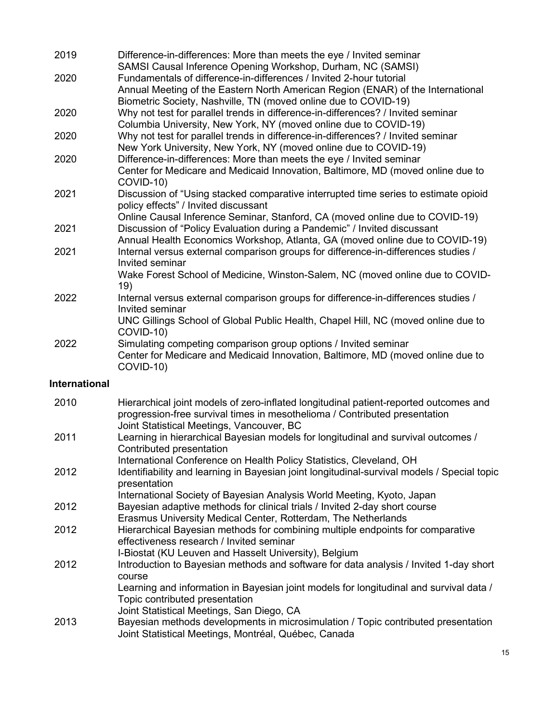| 2019                 | Difference-in-differences: More than meets the eye / Invited seminar<br>SAMSI Causal Inference Opening Workshop, Durham, NC (SAMSI)                                                                                       |
|----------------------|---------------------------------------------------------------------------------------------------------------------------------------------------------------------------------------------------------------------------|
| 2020                 | Fundamentals of difference-in-differences / Invited 2-hour tutorial<br>Annual Meeting of the Eastern North American Region (ENAR) of the International<br>Biometric Society, Nashville, TN (moved online due to COVID-19) |
| 2020                 | Why not test for parallel trends in difference-in-differences? / Invited seminar<br>Columbia University, New York, NY (moved online due to COVID-19)                                                                      |
| 2020                 | Why not test for parallel trends in difference-in-differences? / Invited seminar<br>New York University, New York, NY (moved online due to COVID-19)                                                                      |
| 2020                 | Difference-in-differences: More than meets the eye / Invited seminar<br>Center for Medicare and Medicaid Innovation, Baltimore, MD (moved online due to<br>COVID-10)                                                      |
| 2021                 | Discussion of "Using stacked comparative interrupted time series to estimate opioid<br>policy effects" / Invited discussant                                                                                               |
| 2021                 | Online Causal Inference Seminar, Stanford, CA (moved online due to COVID-19)<br>Discussion of "Policy Evaluation during a Pandemic" / Invited discussant                                                                  |
| 2021                 | Annual Health Economics Workshop, Atlanta, GA (moved online due to COVID-19)<br>Internal versus external comparison groups for difference-in-differences studies /<br>Invited seminar                                     |
|                      | Wake Forest School of Medicine, Winston-Salem, NC (moved online due to COVID-<br>19)                                                                                                                                      |
| 2022                 | Internal versus external comparison groups for difference-in-differences studies /<br>Invited seminar<br>UNC Gillings School of Global Public Health, Chapel Hill, NC (moved online due to                                |
| 2022                 | COVID-10)<br>Simulating competing comparison group options / Invited seminar<br>Center for Medicare and Medicaid Innovation, Baltimore, MD (moved online due to<br>COVID-10)                                              |
| <b>International</b> |                                                                                                                                                                                                                           |
| 2010                 | Hierarchical joint models of zero-inflated longitudinal patient-reported outcomes and<br>progression-free survival times in mesothelioma / Contributed presentation<br>Joint Statistical Meetings, Vancouver, BC          |
| 2011                 | Learning in hierarchical Bayesian models for longitudinal and survival outcomes /<br>Contributed presentation                                                                                                             |
| 2012                 | International Conference on Health Policy Statistics, Cleveland, OH<br>Identifiability and learning in Bayesian joint longitudinal-survival models / Special topic<br>presentation                                        |
| 2012                 | International Society of Bayesian Analysis World Meeting, Kyoto, Japan<br>Bayesian adaptive methods for clinical trials / Invited 2-day short course<br>Erasmus University Medical Center, Rotterdam, The Netherlands     |
| 2012                 | Hierarchical Bayesian methods for combining multiple endpoints for comparative<br>effectiveness research / Invited seminar                                                                                                |
| 2012                 | I-Biostat (KU Leuven and Hasselt University), Belgium<br>Introduction to Bayesian methods and software for data analysis / Invited 1-day short<br>course                                                                  |

Learning and information in Bayesian joint models for longitudinal and survival data / Topic contributed presentation

- Joint Statistical Meetings, San Diego, CA
- 2013 Bayesian methods developments in microsimulation / Topic contributed presentation Joint Statistical Meetings, Montréal, Québec, Canada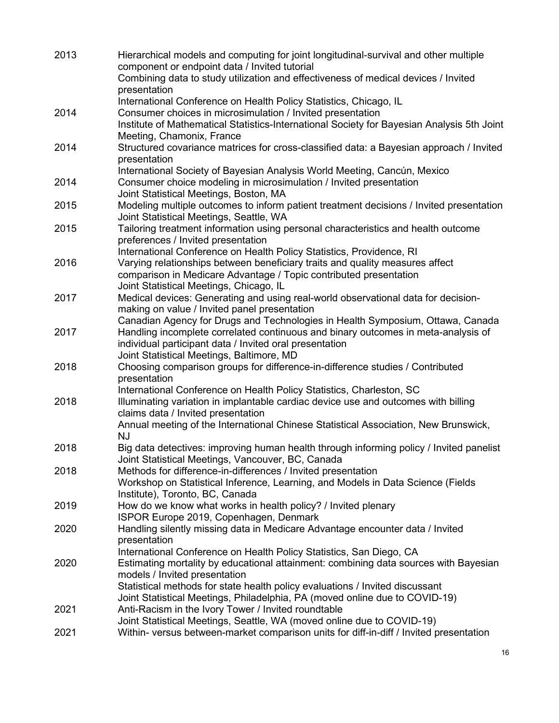| 2013 | Hierarchical models and computing for joint longitudinal-survival and other multiple<br>component or endpoint data / Invited tutorial<br>Combining data to study utilization and effectiveness of medical devices / Invited |
|------|-----------------------------------------------------------------------------------------------------------------------------------------------------------------------------------------------------------------------------|
|      | presentation                                                                                                                                                                                                                |
|      | International Conference on Health Policy Statistics, Chicago, IL                                                                                                                                                           |
| 2014 | Consumer choices in microsimulation / Invited presentation<br>Institute of Mathematical Statistics-International Society for Bayesian Analysis 5th Joint                                                                    |
|      | Meeting, Chamonix, France                                                                                                                                                                                                   |
| 2014 | Structured covariance matrices for cross-classified data: a Bayesian approach / Invited                                                                                                                                     |
|      | presentation<br>International Society of Bayesian Analysis World Meeting, Cancún, Mexico                                                                                                                                    |
| 2014 | Consumer choice modeling in microsimulation / Invited presentation                                                                                                                                                          |
|      | Joint Statistical Meetings, Boston, MA                                                                                                                                                                                      |
| 2015 | Modeling multiple outcomes to inform patient treatment decisions / Invited presentation<br>Joint Statistical Meetings, Seattle, WA                                                                                          |
| 2015 | Tailoring treatment information using personal characteristics and health outcome                                                                                                                                           |
|      | preferences / Invited presentation                                                                                                                                                                                          |
| 2016 | International Conference on Health Policy Statistics, Providence, RI<br>Varying relationships between beneficiary traits and quality measures affect                                                                        |
|      | comparison in Medicare Advantage / Topic contributed presentation                                                                                                                                                           |
|      | Joint Statistical Meetings, Chicago, IL                                                                                                                                                                                     |
| 2017 | Medical devices: Generating and using real-world observational data for decision-                                                                                                                                           |
|      | making on value / Invited panel presentation<br>Canadian Agency for Drugs and Technologies in Health Symposium, Ottawa, Canada                                                                                              |
| 2017 | Handling incomplete correlated continuous and binary outcomes in meta-analysis of                                                                                                                                           |
|      | individual participant data / Invited oral presentation                                                                                                                                                                     |
| 2018 | Joint Statistical Meetings, Baltimore, MD<br>Choosing comparison groups for difference-in-difference studies / Contributed                                                                                                  |
|      | presentation                                                                                                                                                                                                                |
|      | International Conference on Health Policy Statistics, Charleston, SC                                                                                                                                                        |
| 2018 | Illuminating variation in implantable cardiac device use and outcomes with billing<br>claims data / Invited presentation                                                                                                    |
|      | Annual meeting of the International Chinese Statistical Association, New Brunswick,                                                                                                                                         |
|      | <b>NJ</b>                                                                                                                                                                                                                   |
| 2018 | Big data detectives: improving human health through informing policy / Invited panelist<br>Joint Statistical Meetings, Vancouver, BC, Canada                                                                                |
| 2018 | Methods for difference-in-differences / Invited presentation                                                                                                                                                                |
|      | Workshop on Statistical Inference, Learning, and Models in Data Science (Fields                                                                                                                                             |
|      | Institute), Toronto, BC, Canada                                                                                                                                                                                             |
| 2019 | How do we know what works in health policy? / Invited plenary<br>ISPOR Europe 2019, Copenhagen, Denmark                                                                                                                     |
| 2020 | Handling silently missing data in Medicare Advantage encounter data / Invited                                                                                                                                               |
|      | presentation                                                                                                                                                                                                                |
| 2020 | International Conference on Health Policy Statistics, San Diego, CA<br>Estimating mortality by educational attainment: combining data sources with Bayesian                                                                 |
|      | models / Invited presentation                                                                                                                                                                                               |
|      | Statistical methods for state health policy evaluations / Invited discussant                                                                                                                                                |
|      | Joint Statistical Meetings, Philadelphia, PA (moved online due to COVID-19)                                                                                                                                                 |
| 2021 | Anti-Racism in the Ivory Tower / Invited roundtable<br>Joint Statistical Meetings, Seattle, WA (moved online due to COVID-19)                                                                                               |
| 2021 | Within- versus between-market comparison units for diff-in-diff / Invited presentation                                                                                                                                      |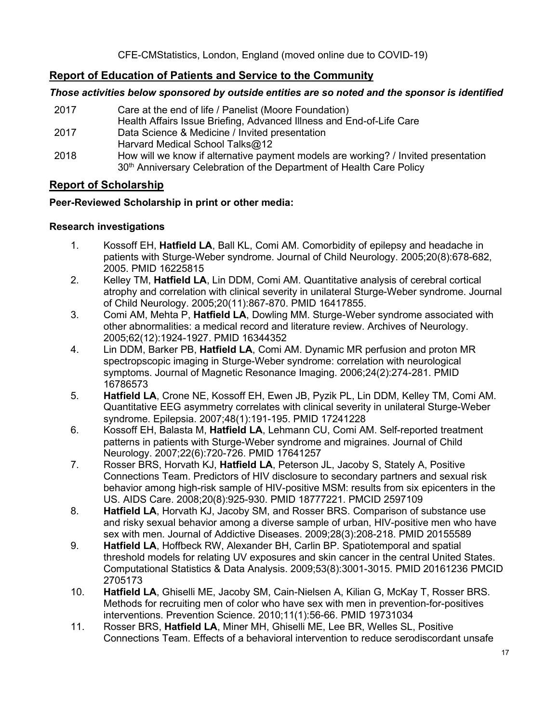# **Report of Education of Patients and Service to the Community**

## *Those activities below sponsored by outside entities are so noted and the sponsor is identified*

2017 Care at the end of life / Panelist (Moore Foundation) Health Affairs Issue Briefing, Advanced Illness and End-of-Life Care 2017 Data Science & Medicine / Invited presentation Harvard Medical School Talks@12 2018 How will we know if alternative payment models are working? / Invited presentation 30<sup>th</sup> Anniversary Celebration of the Department of Health Care Policy

## **Report of Scholarship**

## **Peer-Reviewed Scholarship in print or other media:**

## **Research investigations**

- 1. Kossoff EH, **Hatfield LA**, Ball KL, Comi AM. Comorbidity of epilepsy and headache in patients with Sturge-Weber syndrome. Journal of Child Neurology. 2005;20(8):678-682, 2005. PMID 16225815
- 2. Kelley TM, **Hatfield LA**, Lin DDM, Comi AM. Quantitative analysis of cerebral cortical atrophy and correlation with clinical severity in unilateral Sturge-Weber syndrome. Journal of Child Neurology. 2005;20(11):867-870. PMID 16417855.
- 3. Comi AM, Mehta P, **Hatfield LA**, Dowling MM. Sturge-Weber syndrome associated with other abnormalities: a medical record and literature review. Archives of Neurology. 2005;62(12):1924-1927. PMID 16344352
- 4. Lin DDM, Barker PB, **Hatfield LA**, Comi AM. Dynamic MR perfusion and proton MR spectropscopic imaging in Sturge-Weber syndrome: correlation with neurological symptoms. Journal of Magnetic Resonance Imaging. 2006;24(2):274-281. PMID 16786573
- 5. **Hatfield LA**, Crone NE, Kossoff EH, Ewen JB, Pyzik PL, Lin DDM, Kelley TM, Comi AM. Quantitative EEG asymmetry correlates with clinical severity in unilateral Sturge-Weber syndrome. Epilepsia. 2007;48(1):191-195. PMID 17241228
- 6. Kossoff EH, Balasta M, **Hatfield LA**, Lehmann CU, Comi AM. Self-reported treatment patterns in patients with Sturge-Weber syndrome and migraines. Journal of Child Neurology. 2007;22(6):720-726. PMID 17641257
- 7. Rosser BRS, Horvath KJ, **Hatfield LA**, Peterson JL, Jacoby S, Stately A, Positive Connections Team. Predictors of HIV disclosure to secondary partners and sexual risk behavior among high-risk sample of HIV-positive MSM: results from six epicenters in the US. AIDS Care. 2008;20(8):925-930. PMID 18777221. PMCID 2597109
- 8. **Hatfield LA**, Horvath KJ, Jacoby SM, and Rosser BRS. Comparison of substance use and risky sexual behavior among a diverse sample of urban, HIV-positive men who have sex with men. Journal of Addictive Diseases. 2009;28(3):208-218. PMID 20155589
- 9. **Hatfield LA**, Hoffbeck RW, Alexander BH, Carlin BP. Spatiotemporal and spatial threshold models for relating UV exposures and skin cancer in the central United States. Computational Statistics & Data Analysis. 2009;53(8):3001-3015. PMID 20161236 PMCID 2705173
- 10. **Hatfield LA**, Ghiselli ME, Jacoby SM, Cain-Nielsen A, Kilian G, McKay T, Rosser BRS. Methods for recruiting men of color who have sex with men in prevention-for-positives interventions. Prevention Science. 2010;11(1):56-66. PMID 19731034
- 11. Rosser BRS, **Hatfield LA**, Miner MH, Ghiselli ME, Lee BR, Welles SL, Positive Connections Team. Effects of a behavioral intervention to reduce serodiscordant unsafe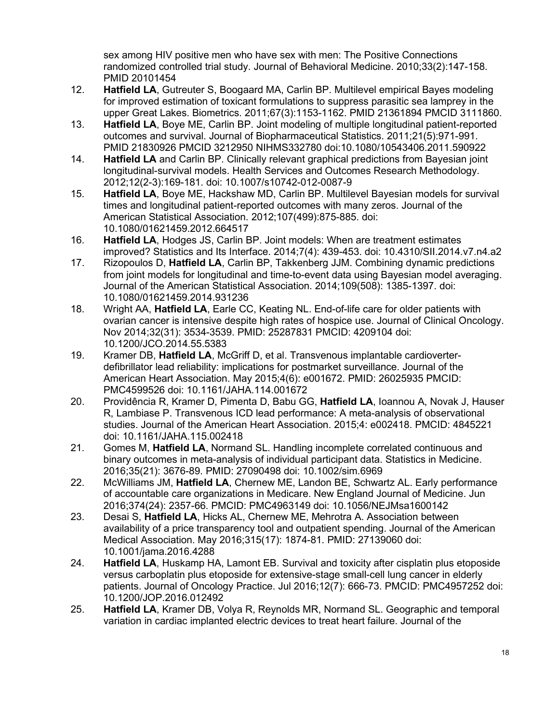sex among HIV positive men who have sex with men: The Positive Connections randomized controlled trial study. Journal of Behavioral Medicine. 2010;33(2):147-158. PMID 20101454

- 12. **Hatfield LA**, Gutreuter S, Boogaard MA, Carlin BP. Multilevel empirical Bayes modeling for improved estimation of toxicant formulations to suppress parasitic sea lamprey in the upper Great Lakes. Biometrics. 2011;67(3):1153-1162. PMID 21361894 PMCID 3111860.
- 13. **Hatfield LA**, Boye ME, Carlin BP. Joint modeling of multiple longitudinal patient-reported outcomes and survival. Journal of Biopharmaceutical Statistics. 2011;21(5):971-991. PMID 21830926 PMCID 3212950 NIHMS332780 doi:10.1080/10543406.2011.590922
- 14. **Hatfield LA** and Carlin BP. Clinically relevant graphical predictions from Bayesian joint longitudinal-survival models. Health Services and Outcomes Research Methodology. 2012;12(2-3):169-181. doi: 10.1007/s10742-012-0087-9
- 15. **Hatfield LA**, Boye ME, Hackshaw MD, Carlin BP. Multilevel Bayesian models for survival times and longitudinal patient-reported outcomes with many zeros. Journal of the American Statistical Association. 2012;107(499):875-885. doi: 10.1080/01621459.2012.664517
- 16. **Hatfield LA**, Hodges JS, Carlin BP. Joint models: When are treatment estimates improved? Statistics and Its Interface. 2014;7(4): 439-453. doi: 10.4310/SII.2014.v7.n4.a2
- 17. Rizopoulos D, **Hatfield LA**, Carlin BP, Takkenberg JJM. Combining dynamic predictions from joint models for longitudinal and time-to-event data using Bayesian model averaging. Journal of the American Statistical Association. 2014;109(508): 1385-1397. doi: 10.1080/01621459.2014.931236
- 18. Wright AA, **Hatfield LA**, Earle CC, Keating NL. End-of-life care for older patients with ovarian cancer is intensive despite high rates of hospice use. Journal of Clinical Oncology. Nov 2014;32(31): 3534-3539. PMID: 25287831 PMCID: 4209104 doi: 10.1200/JCO.2014.55.5383
- 19. Kramer DB, **Hatfield LA**, McGriff D, et al. Transvenous implantable cardioverterdefibrillator lead reliability: implications for postmarket surveillance. Journal of the American Heart Association. May 2015;4(6): e001672. PMID: 26025935 PMCID: PMC4599526 doi: 10.1161/JAHA.114.001672
- 20. Providência R, Kramer D, Pimenta D, Babu GG, **Hatfield LA**, Ioannou A, Novak J, Hauser R, Lambiase P. Transvenous ICD lead performance: A meta-analysis of observational studies. Journal of the American Heart Association. 2015;4: e002418. PMCID: 4845221 doi: 10.1161/JAHA.115.002418
- 21. Gomes M, **Hatfield LA**, Normand SL. Handling incomplete correlated continuous and binary outcomes in meta-analysis of individual participant data. Statistics in Medicine. 2016;35(21): 3676-89. PMID: 27090498 doi: 10.1002/sim.6969
- 22. McWilliams JM, **Hatfield LA**, Chernew ME, Landon BE, Schwartz AL. Early performance of accountable care organizations in Medicare. New England Journal of Medicine. Jun 2016;374(24): 2357-66. PMCID: PMC4963149 doi: 10.1056/NEJMsa1600142
- 23. Desai S, **Hatfield LA**, Hicks AL, Chernew ME, Mehrotra A. Association between availability of a price transparency tool and outpatient spending. Journal of the American Medical Association. May 2016;315(17): 1874-81. PMID: 27139060 doi: 10.1001/jama.2016.4288
- 24. **Hatfield LA**, Huskamp HA, Lamont EB. Survival and toxicity after cisplatin plus etoposide versus carboplatin plus etoposide for extensive-stage small-cell lung cancer in elderly patients. Journal of Oncology Practice. Jul 2016;12(7): 666-73. PMCID: PMC4957252 doi: 10.1200/JOP.2016.012492
- 25. **Hatfield LA**, Kramer DB, Volya R, Reynolds MR, Normand SL. Geographic and temporal variation in cardiac implanted electric devices to treat heart failure. Journal of the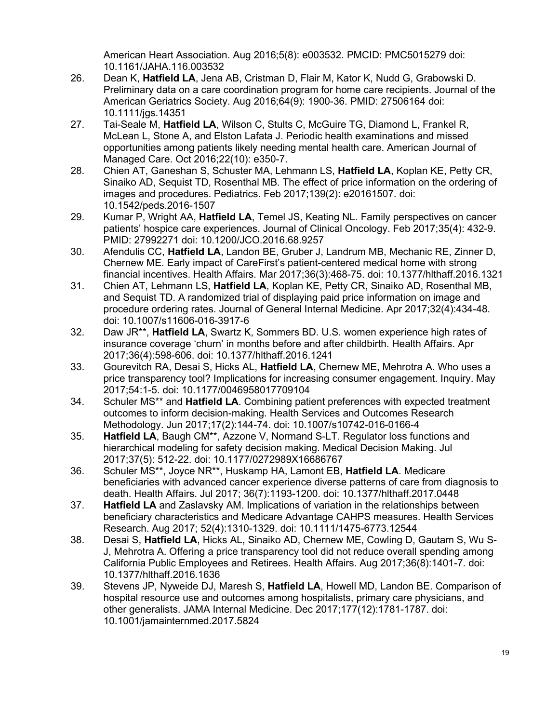American Heart Association. Aug 2016;5(8): e003532. PMCID: PMC5015279 doi: 10.1161/JAHA.116.003532

- 26. Dean K, **Hatfield LA**, Jena AB, Cristman D, Flair M, Kator K, Nudd G, Grabowski D. Preliminary data on a care coordination program for home care recipients. Journal of the American Geriatrics Society. Aug 2016;64(9): 1900-36. PMID: 27506164 doi: 10.1111/jgs.14351
- 27. Tai-Seale M, **Hatfield LA**, Wilson C, Stults C, McGuire TG, Diamond L, Frankel R, McLean L, Stone A, and Elston Lafata J. Periodic health examinations and missed opportunities among patients likely needing mental health care. American Journal of Managed Care. Oct 2016;22(10): e350-7.
- 28. Chien AT, Ganeshan S, Schuster MA, Lehmann LS, **Hatfield LA**, Koplan KE, Petty CR, Sinaiko AD, Sequist TD, Rosenthal MB. The effect of price information on the ordering of images and procedures. Pediatrics. Feb 2017;139(2): e20161507. doi: 10.1542/peds.2016-1507
- 29. Kumar P, Wright AA, **Hatfield LA**, Temel JS, Keating NL. Family perspectives on cancer patients' hospice care experiences. Journal of Clinical Oncology. Feb 2017;35(4): 432-9. PMID: 27992271 doi: 10.1200/JCO.2016.68.9257
- 30. Afendulis CC, **Hatfield LA**, Landon BE, Gruber J, Landrum MB, Mechanic RE, Zinner D, Chernew ME. Early impact of CareFirst's patient-centered medical home with strong financial incentives. Health Affairs. Mar 2017;36(3):468-75. doi: 10.1377/hlthaff.2016.1321
- 31. Chien AT, Lehmann LS, **Hatfield LA**, Koplan KE, Petty CR, Sinaiko AD, Rosenthal MB, and Sequist TD. A randomized trial of displaying paid price information on image and procedure ordering rates. Journal of General Internal Medicine. Apr 2017;32(4):434-48. doi: 10.1007/s11606-016-3917-6
- 32. Daw JR\*\*, **Hatfield LA**, Swartz K, Sommers BD. U.S. women experience high rates of insurance coverage 'churn' in months before and after childbirth. Health Affairs. Apr 2017;36(4):598-606. doi: 10.1377/hlthaff.2016.1241
- 33. Gourevitch RA, Desai S, Hicks AL, **Hatfield LA**, Chernew ME, Mehrotra A. Who uses a price transparency tool? Implications for increasing consumer engagement. Inquiry. May 2017;54:1-5. doi: 10.1177/0046958017709104
- 34. Schuler MS\*\* and **Hatfield LA**. Combining patient preferences with expected treatment outcomes to inform decision-making. Health Services and Outcomes Research Methodology. Jun 2017;17(2):144-74. doi: 10.1007/s10742-016-0166-4
- 35. **Hatfield LA**, Baugh CM\*\*, Azzone V, Normand S-LT. Regulator loss functions and hierarchical modeling for safety decision making. Medical Decision Making. Jul 2017;37(5): 512-22. doi: 10.1177/0272989X16686767
- 36. Schuler MS\*\*, Joyce NR\*\*, Huskamp HA, Lamont EB, **Hatfield LA**. Medicare beneficiaries with advanced cancer experience diverse patterns of care from diagnosis to death. Health Affairs. Jul 2017; 36(7):1193-1200. doi: 10.1377/hlthaff.2017.0448
- 37. **Hatfield LA** and Zaslavsky AM. Implications of variation in the relationships between beneficiary characteristics and Medicare Advantage CAHPS measures. Health Services Research. Aug 2017; 52(4):1310-1329. doi: 10.1111/1475-6773.12544
- 38. Desai S, **Hatfield LA**, Hicks AL, Sinaiko AD, Chernew ME, Cowling D, Gautam S, Wu S-J, Mehrotra A. Offering a price transparency tool did not reduce overall spending among California Public Employees and Retirees. Health Affairs. Aug 2017;36(8):1401-7. doi: 10.1377/hlthaff.2016.1636
- 39. Stevens JP, Nyweide DJ, Maresh S, **Hatfield LA**, Howell MD, Landon BE. Comparison of hospital resource use and outcomes among hospitalists, primary care physicians, and other generalists. JAMA Internal Medicine. Dec 2017;177(12):1781-1787. doi: 10.1001/jamainternmed.2017.5824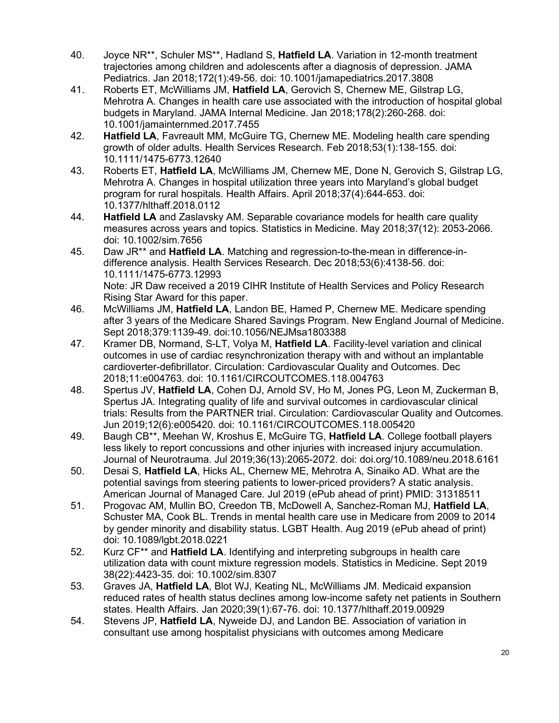- 40. Joyce NR\*\*, Schuler MS\*\*, Hadland S, **Hatfield LA**. Variation in 12-month treatment trajectories among children and adolescents after a diagnosis of depression. JAMA Pediatrics. Jan 2018;172(1):49-56. doi: 10.1001/jamapediatrics.2017.3808
- 41. Roberts ET, McWilliams JM, **Hatfield LA**, Gerovich S, Chernew ME, Gilstrap LG, Mehrotra A. Changes in health care use associated with the introduction of hospital global budgets in Maryland. JAMA Internal Medicine. Jan 2018;178(2):260-268. doi: 10.1001/jamainternmed.2017.7455
- 42. **Hatfield LA**, Favreault MM, McGuire TG, Chernew ME. Modeling health care spending growth of older adults. Health Services Research. Feb 2018;53(1):138-155. doi: 10.1111/1475-6773.12640
- 43. Roberts ET, **Hatfield LA**, McWilliams JM, Chernew ME, Done N, Gerovich S, Gilstrap LG, Mehrotra A. Changes in hospital utilization three years into Maryland's global budget program for rural hospitals. Health Affairs. April 2018;37(4):644-653. doi: 10.1377/hlthaff.2018.0112
- 44. **Hatfield LA** and Zaslavsky AM. Separable covariance models for health care quality measures across years and topics. Statistics in Medicine. May 2018;37(12): 2053-2066. doi: 10.1002/sim.7656
- 45. Daw JR\*\* and **Hatfield LA**. Matching and regression-to-the-mean in difference-indifference analysis. Health Services Research. Dec 2018;53(6):4138-56. doi: 10.1111/1475-6773.12993 Note: JR Daw received a 2019 CIHR Institute of Health Services and Policy Research Rising Star Award for this paper.
- 46. McWilliams JM, **Hatfield LA**, Landon BE, Hamed P, Chernew ME. Medicare spending after 3 years of the Medicare Shared Savings Program. New England Journal of Medicine. Sept 2018;379:1139-49. doi:10.1056/NEJMsa1803388
- 47. Kramer DB, Normand, S-LT, Volya M, **Hatfield LA**. Facility-level variation and clinical outcomes in use of cardiac resynchronization therapy with and without an implantable cardioverter-defibrillator. Circulation: Cardiovascular Quality and Outcomes. Dec 2018;11:e004763. doi: 10.1161/CIRCOUTCOMES.118.004763
- 48. Spertus JV, **Hatfield LA**, Cohen DJ, Arnold SV, Ho M, Jones PG, Leon M, Zuckerman B, Spertus JA. Integrating quality of life and survival outcomes in cardiovascular clinical trials: Results from the PARTNER trial. Circulation: Cardiovascular Quality and Outcomes. Jun 2019;12(6):e005420. doi: 10.1161/CIRCOUTCOMES.118.005420
- 49. Baugh CB\*\*, Meehan W, Kroshus E, McGuire TG, **Hatfield LA**. College football players less likely to report concussions and other injuries with increased injury accumulation. Journal of Neurotrauma. Jul 2019;36(13):2065-2072. doi: doi.org/10.1089/neu.2018.6161
- 50. Desai S, **Hatfield LA**, Hicks AL, Chernew ME, Mehrotra A, Sinaiko AD. What are the potential savings from steering patients to lower-priced providers? A static analysis. American Journal of Managed Care. Jul 2019 (ePub ahead of print) PMID: 31318511
- 51. Progovac AM, Mullin BO, Creedon TB, McDowell A, Sanchez-Roman MJ, **Hatfield LA**, Schuster MA, Cook BL. Trends in mental health care use in Medicare from 2009 to 2014 by gender minority and disability status. LGBT Health. Aug 2019 (ePub ahead of print) doi: 10.1089/lgbt.2018.0221
- 52. Kurz CF\*\* and **Hatfield LA**. Identifying and interpreting subgroups in health care utilization data with count mixture regression models. Statistics in Medicine. Sept 2019 38(22):4423-35. doi: 10.1002/sim.8307
- 53. Graves JA, **Hatfield LA**, Blot WJ, Keating NL, McWilliams JM. Medicaid expansion reduced rates of health status declines among low-income safety net patients in Southern states. Health Affairs. Jan 2020;39(1):67-76. doi: 10.1377/hlthaff.2019.00929
- 54. Stevens JP, **Hatfield LA**, Nyweide DJ, and Landon BE. Association of variation in consultant use among hospitalist physicians with outcomes among Medicare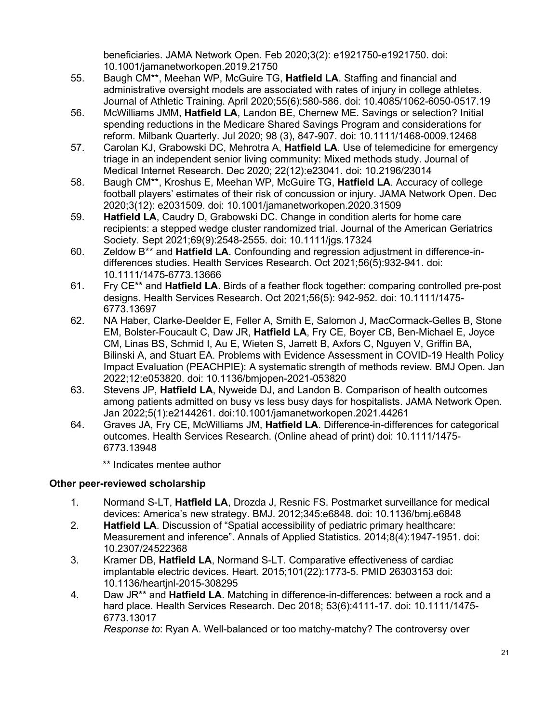beneficiaries. JAMA Network Open. Feb 2020;3(2): e1921750-e1921750. doi: 10.1001/jamanetworkopen.2019.21750

- 55. Baugh CM\*\*, Meehan WP, McGuire TG, **Hatfield LA**. Staffing and financial and administrative oversight models are associated with rates of injury in college athletes. Journal of Athletic Training. April 2020;55(6):580-586. doi: 10.4085/1062-6050-0517.19
- 56. McWilliams JMM, **Hatfield LA**, Landon BE, Chernew ME. Savings or selection? Initial spending reductions in the Medicare Shared Savings Program and considerations for reform. Milbank Quarterly. Jul 2020; 98 (3), 847-907. doi: 10.1111/1468-0009.12468
- 57. Carolan KJ, Grabowski DC, Mehrotra A, **Hatfield LA**. Use of telemedicine for emergency triage in an independent senior living community: Mixed methods study. Journal of Medical Internet Research. Dec 2020; 22(12):e23041. doi: 10.2196/23014
- 58. Baugh CM\*\*, Kroshus E, Meehan WP, McGuire TG, **Hatfield LA**. Accuracy of college football players' estimates of their risk of concussion or injury. JAMA Network Open. Dec 2020;3(12): e2031509. doi: 10.1001/jamanetworkopen.2020.31509
- 59. **Hatfield LA**, Caudry D, Grabowski DC. Change in condition alerts for home care recipients: a stepped wedge cluster randomized trial. Journal of the American Geriatrics Society. Sept 2021;69(9):2548-2555. doi: 10.1111/jgs.17324
- 60. Zeldow B\*\* and **Hatfield LA**. Confounding and regression adjustment in difference-indifferences studies. Health Services Research. Oct 2021;56(5):932-941. doi: 10.1111/1475-6773.13666
- 61. Fry CE\*\* and **Hatfield LA**. Birds of a feather flock together: comparing controlled pre-post designs. Health Services Research. Oct 2021;56(5): 942-952. doi: 10.1111/1475- 6773.13697
- 62. NA Haber, Clarke-Deelder E, Feller A, Smith E, Salomon J, MacCormack-Gelles B, Stone EM, Bolster-Foucault C, Daw JR, **Hatfield LA**, Fry CE, Boyer CB, Ben-Michael E, Joyce CM, Linas BS, Schmid I, Au E, Wieten S, Jarrett B, Axfors C, Nguyen V, Griffin BA, Bilinski A, and Stuart EA. Problems with Evidence Assessment in COVID-19 Health Policy Impact Evaluation (PEACHPIE): A systematic strength of methods review. BMJ Open. Jan 2022;12:e053820. doi: 10.1136/bmjopen-2021-053820
- 63. Stevens JP, **Hatfield LA**, Nyweide DJ, and Landon B. Comparison of health outcomes among patients admitted on busy vs less busy days for hospitalists. JAMA Network Open. Jan 2022;5(1):e2144261. doi:10.1001/jamanetworkopen.2021.44261
- 64. Graves JA, Fry CE, McWilliams JM, **Hatfield LA**. Difference-in-differences for categorical outcomes. Health Services Research. (Online ahead of print) doi: 10.1111/1475- 6773.13948

\*\* Indicates mentee author

## **Other peer-reviewed scholarship**

- 1. Normand S-LT, **Hatfield LA**, Drozda J, Resnic FS. Postmarket surveillance for medical devices: America's new strategy. BMJ. 2012;345:e6848. doi: 10.1136/bmj.e6848
- 2. **Hatfield LA**. Discussion of "Spatial accessibility of pediatric primary healthcare: Measurement and inference". Annals of Applied Statistics. 2014;8(4):1947-1951. doi: 10.2307/24522368
- 3. Kramer DB, **Hatfield LA**, Normand S-LT. Comparative effectiveness of cardiac implantable electric devices. Heart. 2015;101(22):1773-5. PMID 26303153 doi: 10.1136/heartjnl-2015-308295
- 4. Daw JR\*\* and **Hatfield LA**. Matching in difference-in-differences: between a rock and a hard place. Health Services Research. Dec 2018; 53(6):4111-17. doi: 10.1111/1475- 6773.13017

*Response to*: Ryan A. Well-balanced or too matchy-matchy? The controversy over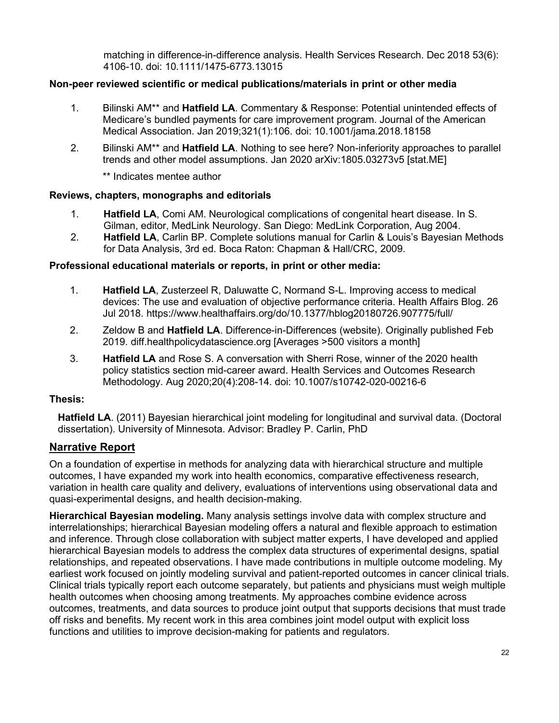matching in difference-in-difference analysis. Health Services Research. Dec 2018 53(6): 4106-10. doi: 10.1111/1475-6773.13015

## **Non-peer reviewed scientific or medical publications/materials in print or other media**

- 1. Bilinski AM\*\* and **Hatfield LA**. Commentary & Response: Potential unintended effects of Medicare's bundled payments for care improvement program. Journal of the American Medical Association. Jan 2019;321(1):106. doi: 10.1001/jama.2018.18158
- 2. Bilinski AM\*\* and **Hatfield LA**. Nothing to see here? Non-inferiority approaches to parallel trends and other model assumptions. Jan 2020 arXiv:1805.03273v5 [stat.ME]

\*\* Indicates mentee author

#### **Reviews, chapters, monographs and editorials**

- 1. **Hatfield LA**, Comi AM. Neurological complications of congenital heart disease. In S. Gilman, editor, MedLink Neurology. San Diego: MedLink Corporation, Aug 2004.
- 2. **Hatfield LA**, Carlin BP. Complete solutions manual for Carlin & Louis's Bayesian Methods for Data Analysis, 3rd ed. Boca Raton: Chapman & Hall/CRC, 2009.

#### **Professional educational materials or reports, in print or other media:**

- 1. **Hatfield LA**, Zusterzeel R, Daluwatte C, Normand S-L. Improving access to medical devices: The use and evaluation of objective performance criteria. Health Affairs Blog. 26 Jul 2018. https://www.healthaffairs.org/do/10.1377/hblog20180726.907775/full/
- 2. Zeldow B and **Hatfield LA**. Difference-in-Differences (website). Originally published Feb 2019. diff.healthpolicydatascience.org [Averages >500 visitors a month]
- 3. **Hatfield LA** and Rose S. A conversation with Sherri Rose, winner of the 2020 health policy statistics section mid-career award. Health Services and Outcomes Research Methodology. Aug 2020;20(4):208-14. doi: 10.1007/s10742-020-00216-6

#### **Thesis:**

**Hatfield LA**. (2011) Bayesian hierarchical joint modeling for longitudinal and survival data. (Doctoral dissertation). University of Minnesota. Advisor: Bradley P. Carlin, PhD

## **Narrative Report**

On a foundation of expertise in methods for analyzing data with hierarchical structure and multiple outcomes, I have expanded my work into health economics, comparative effectiveness research, variation in health care quality and delivery, evaluations of interventions using observational data and quasi-experimental designs, and health decision-making.

**Hierarchical Bayesian modeling.** Many analysis settings involve data with complex structure and interrelationships; hierarchical Bayesian modeling offers a natural and flexible approach to estimation and inference. Through close collaboration with subject matter experts, I have developed and applied hierarchical Bayesian models to address the complex data structures of experimental designs, spatial relationships, and repeated observations. I have made contributions in multiple outcome modeling. My earliest work focused on jointly modeling survival and patient-reported outcomes in cancer clinical trials. Clinical trials typically report each outcome separately, but patients and physicians must weigh multiple health outcomes when choosing among treatments. My approaches combine evidence across outcomes, treatments, and data sources to produce joint output that supports decisions that must trade off risks and benefits. My recent work in this area combines joint model output with explicit loss functions and utilities to improve decision-making for patients and regulators.